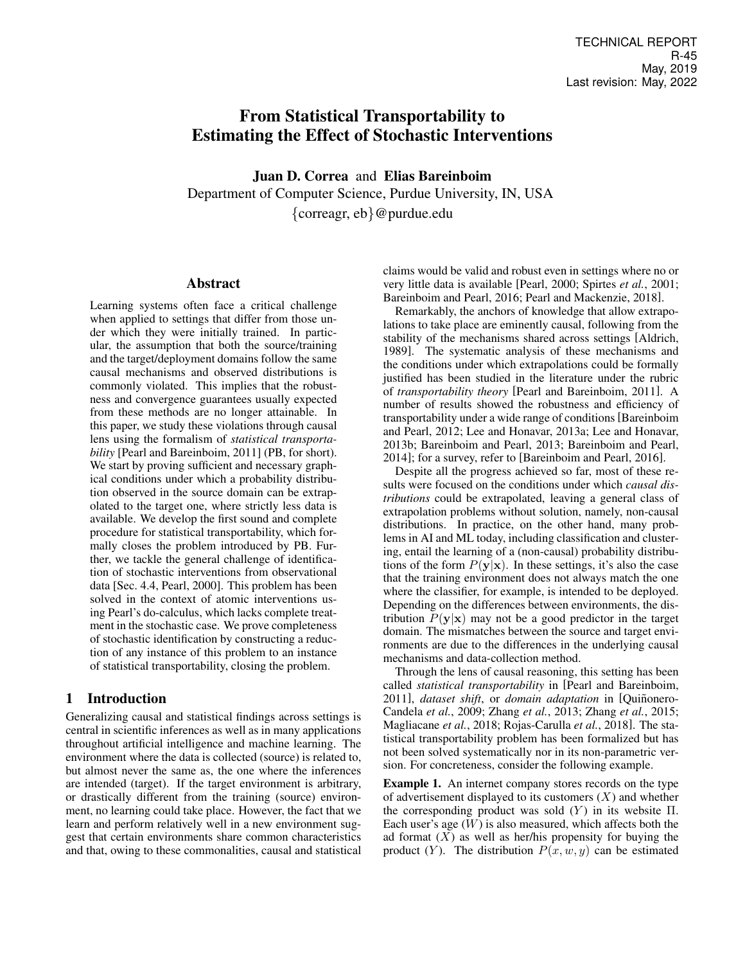# From Statistical Transportability to Estimating the Effect of Stochastic Interventions

Juan D. Correa and Elias Bareinboim Department of Computer Science, Purdue University, IN, USA {correagr, eb}@purdue.edu

### Abstract

Learning systems often face a critical challenge when applied to settings that differ from those under which they were initially trained. In particular, the assumption that both the source/training and the target/deployment domains follow the same causal mechanisms and observed distributions is commonly violated. This implies that the robustness and convergence guarantees usually expected from these methods are no longer attainable. In this paper, we study these violations through causal lens using the formalism of *statistical transportability* [Pearl and Bareinboim, 2011] (PB, for short). We start by proving sufficient and necessary graphical conditions under which a probability distribution observed in the source domain can be extrapolated to the target one, where strictly less data is available. We develop the first sound and complete procedure for statistical transportability, which formally closes the problem introduced by PB. Further, we tackle the general challenge of identification of stochastic interventions from observational data [Sec. 4.4, Pearl, 2000]. This problem has been solved in the context of atomic interventions using Pearl's do-calculus, which lacks complete treatment in the stochastic case. We prove completeness of stochastic identification by constructing a reduction of any instance of this problem to an instance of statistical transportability, closing the problem.

## 1 Introduction

Generalizing causal and statistical findings across settings is central in scientific inferences as well as in many applications throughout artificial intelligence and machine learning. The environment where the data is collected (source) is related to, but almost never the same as, the one where the inferences are intended (target). If the target environment is arbitrary, or drastically different from the training (source) environment, no learning could take place. However, the fact that we learn and perform relatively well in a new environment suggest that certain environments share common characteristics and that, owing to these commonalities, causal and statistical claims would be valid and robust even in settings where no or very little data is available [\[Pearl, 2000;](#page-6-0) [Spirtes](#page-6-1) *et al.*, 2001; [Bareinboim and Pearl, 2016;](#page-6-2) [Pearl and Mackenzie, 2018\]](#page-6-3).

Remarkably, the anchors of knowledge that allow extrapolations to take place are eminently causal, following from the stability of the mechanisms shared across settings [\[Aldrich,](#page-6-4) [1989\]](#page-6-4). The systematic analysis of these mechanisms and the conditions under which extrapolations could be formally justified has been studied in the literature under the rubric of *transportability theory* [\[Pearl and Bareinboim, 2011\]](#page-6-5). A number of results showed the robustness and efficiency of transportability under a wide range of conditions[\[Bareinboim](#page-6-6) [and Pearl, 2012;](#page-6-6) [Lee and Honavar, 2013a;](#page-6-7) [Lee and Honavar,](#page-6-8) [2013b;](#page-6-8) [Bareinboim and Pearl, 2013;](#page-6-9) [Bareinboim and Pearl,](#page-6-10) [2014\]](#page-6-10); for a survey, refer to [\[Bareinboim and Pearl, 2016\]](#page-6-2).

Despite all the progress achieved so far, most of these results were focused on the conditions under which *causal distributions* could be extrapolated, leaving a general class of extrapolation problems without solution, namely, non-causal distributions. In practice, on the other hand, many problems in AI and ML today, including classification and clustering, entail the learning of a (non-causal) probability distributions of the form  $P(y|x)$ . In these settings, it's also the case that the training environment does not always match the one where the classifier, for example, is intended to be deployed. Depending on the differences between environments, the distribution  $P(y|x)$  may not be a good predictor in the target domain. The mismatches between the source and target environments are due to the differences in the underlying causal mechanisms and data-collection method.

Through the lens of causal reasoning, this setting has been called *statistical transportability* in [\[Pearl and Bareinboim,](#page-6-5) [2011\]](#page-6-5), *dataset shift*, or *domain adaptation* in [Quiñonero-[Candela](#page-6-11) *et al.*, 2009; Zhang *et al.*[, 2013;](#page-7-0) [Zhang](#page-7-1) *et al.*, 2015; [Magliacane](#page-6-12) *et al.*, 2018; [Rojas-Carulla](#page-6-13) *et al.*, 2018]. The statistical transportability problem has been formalized but has not been solved systematically nor in its non-parametric version. For concreteness, consider the following example.

<span id="page-0-0"></span>Example 1. An internet company stores records on the type of advertisement displayed to its customers  $(X)$  and whether the corresponding product was sold  $(Y)$  in its website  $\Pi$ . Each user's age  $(W)$  is also measured, which affects both the ad format  $(X)$  as well as her/his propensity for buying the product (Y). The distribution  $P(x, w, y)$  can be estimated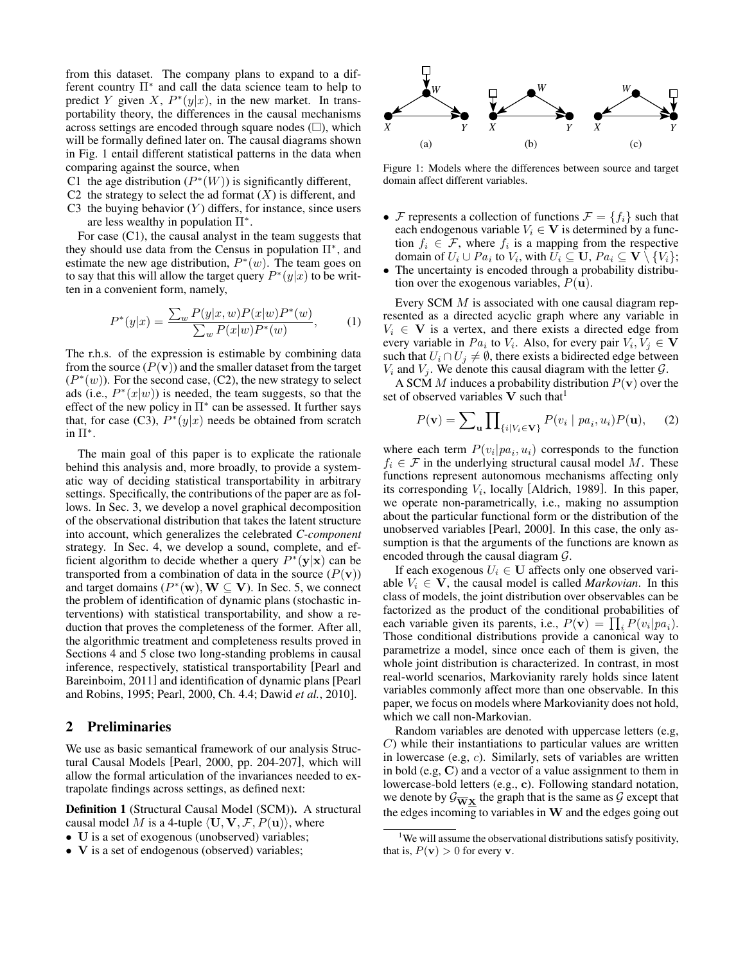from this dataset. The company plans to expand to a different country Π<sup>\*</sup> and call the data science team to help to predict Y given X,  $P^*(y|x)$ , in the new market. In transportability theory, the differences in the causal mechanisms across settings are encoded through square nodes  $(\square)$ , which will be formally defined later on. The causal diagrams shown in Fig. [1](#page-1-0) entail different statistical patterns in the data when comparing against the source, when

- C1 the age distribution  $(P^*(W))$  is significantly different,
- C2 the strategy to select the ad format  $(X)$  is different, and
- C3 the buying behavior  $(Y)$  differs, for instance, since users are less wealthy in population  $\Pi^*$ .

For case (C1), the causal analyst in the team suggests that they should use data from the Census in population  $\Pi^*$ , and estimate the new age distribution,  $P^*(w)$ . The team goes on to say that this will allow the target query  $P^*(y|x)$  to be written in a convenient form, namely,

$$
P^*(y|x) = \frac{\sum_w P(y|x, w)P(x|w)P^*(w)}{\sum_w P(x|w)P^*(w)},
$$
 (1)

The r.h.s. of the expression is estimable by combining data from the source  $(P(\mathbf{v}))$  and the smaller dataset from the target  $(P^*(w))$ . For the second case, (C2), the new strategy to select ads (i.e.,  $P^*(x|w)$ ) is needed, the team suggests, so that the effect of the new policy in  $\Pi^*$  can be assessed. It further says that, for case  $(C3)$ ,  $P^*(y|x)$  needs be obtained from scratch in  $\Pi^*$ .

The main goal of this paper is to explicate the rationale behind this analysis and, more broadly, to provide a systematic way of deciding statistical transportability in arbitrary settings. Specifically, the contributions of the paper are as follows. In Sec. [3,](#page-2-0) we develop a novel graphical decomposition of the observational distribution that takes the latent structure into account, which generalizes the celebrated *C-component* strategy. In Sec. [4,](#page-3-0) we develop a sound, complete, and efficient algorithm to decide whether a query  $P^*(y|x)$  can be transported from a combination of data in the source  $(P(\mathbf{v}))$ and target domains ( $P^*(\mathbf{w})$ ,  $\mathbf{W} \subseteq \mathbf{V}$ ). In Sec. [5,](#page-5-0) we connect the problem of identification of dynamic plans (stochastic interventions) with statistical transportability, and show a reduction that proves the completeness of the former. After all, the algorithmic treatment and completeness results proved in Sections [4](#page-3-0) and [5](#page-5-0) close two long-standing problems in causal inference, respectively, statistical transportability [\[Pearl and](#page-6-5) [Bareinboim, 2011\]](#page-6-5) and identification of dynamic plans [\[Pearl](#page-6-14) [and Robins, 1995;](#page-6-14) [Pearl, 2000,](#page-6-0) Ch. 4.4; [Dawid](#page-6-15) *et al.*, [2010\]](#page-6-15).

## 2 Preliminaries

We use as basic semantical framework of our analysis Structural Causal Models [\[Pearl, 2000,](#page-6-0) pp. 204-207], which will allow the formal articulation of the invariances needed to extrapolate findings across settings, as defined next:

Definition 1 (Structural Causal Model (SCM)). A structural causal model M is a 4-tuple  $\langle \mathbf{U}, \mathbf{V}, \mathcal{F}, P(\mathbf{u}) \rangle$ , where

- U is a set of exogenous (unobserved) variables;
- V is a set of endogenous (observed) variables;

<span id="page-1-0"></span>

Figure 1: Models where the differences between source and target domain affect different variables.

- F represents a collection of functions  $\mathcal{F} = \{f_i\}$  such that each endogenous variable  $V_i \in V$  is determined by a function  $f_i \in \mathcal{F}$ , where  $f_i$  is a mapping from the respective domain of  $U_i \cup Pa_i$  to  $V_i,$  with  $U_i \subseteq \mathbf{U}, Pa_i \subseteq \mathbf{V} \setminus \{V_i\};$
- The uncertainty is encoded through a probability distribution over the exogenous variables,  $P(\mathbf{u})$ .

Every SCM M is associated with one causal diagram represented as a directed acyclic graph where any variable in  $V_i \in V$  is a vertex, and there exists a directed edge from every variable in  $Pa_i$  to  $V_i$ . Also, for every pair  $V_i, V_j \in V$ such that  $U_i \cap U_j \neq \emptyset$ , there exists a bidirected edge between  $V_i$  and  $V_j$ . We denote this causal diagram with the letter  $\mathcal{G}$ .

A SCM M induces a probability distribution  $P(\mathbf{v})$  over the set of observed variables  $V$  such that<sup>[1](#page-1-1)</sup>

$$
P(\mathbf{v}) = \sum_{\mathbf{u}} \prod_{\{i|V_i \in \mathbf{V}\}} P(v_i \mid pa_i, u_i) P(\mathbf{u}), \quad (2)
$$

where each term  $P(v_i|pa_i, u_i)$  corresponds to the function  $f_i \in \mathcal{F}$  in the underlying structural causal model M. These functions represent autonomous mechanisms affecting only its corresponding  $V_i$ , locally [\[Aldrich, 1989\]](#page-6-4). In this paper, we operate non-parametrically, i.e., making no assumption about the particular functional form or the distribution of the unobserved variables [\[Pearl, 2000\]](#page-6-0). In this case, the only assumption is that the arguments of the functions are known as encoded through the causal diagram G.

If each exogenous  $U_i \in U$  affects only one observed variable  $V_i \in \mathbf{V}$ , the causal model is called *Markovian*. In this class of models, the joint distribution over observables can be factorized as the product of the conditional probabilities of each variable given its parents, i.e.,  $P(\mathbf{v}) = \prod_i P(v_i | pa_i)$ . Those conditional distributions provide a canonical way to parametrize a model, since once each of them is given, the whole joint distribution is characterized. In contrast, in most real-world scenarios, Markovianity rarely holds since latent variables commonly affect more than one observable. In this paper, we focus on models where Markovianity does not hold, which we call non-Markovian.

Random variables are denoted with uppercase letters (e.g, C) while their instantiations to particular values are written in lowercase (e.g,  $c$ ). Similarly, sets of variables are written in bold (e.g, C) and a vector of a value assignment to them in lowercase-bold letters (e.g., c). Following standard notation, we denote by  $\mathcal{G}_{\overline{W}X}$  the graph that is the same as  $\mathcal G$  except that the edges incoming to variables in  $W$  and the edges going out

<span id="page-1-1"></span><sup>&</sup>lt;sup>1</sup>We will assume the observational distributions satisfy positivity, that is,  $P(\mathbf{v}) > 0$  for every v.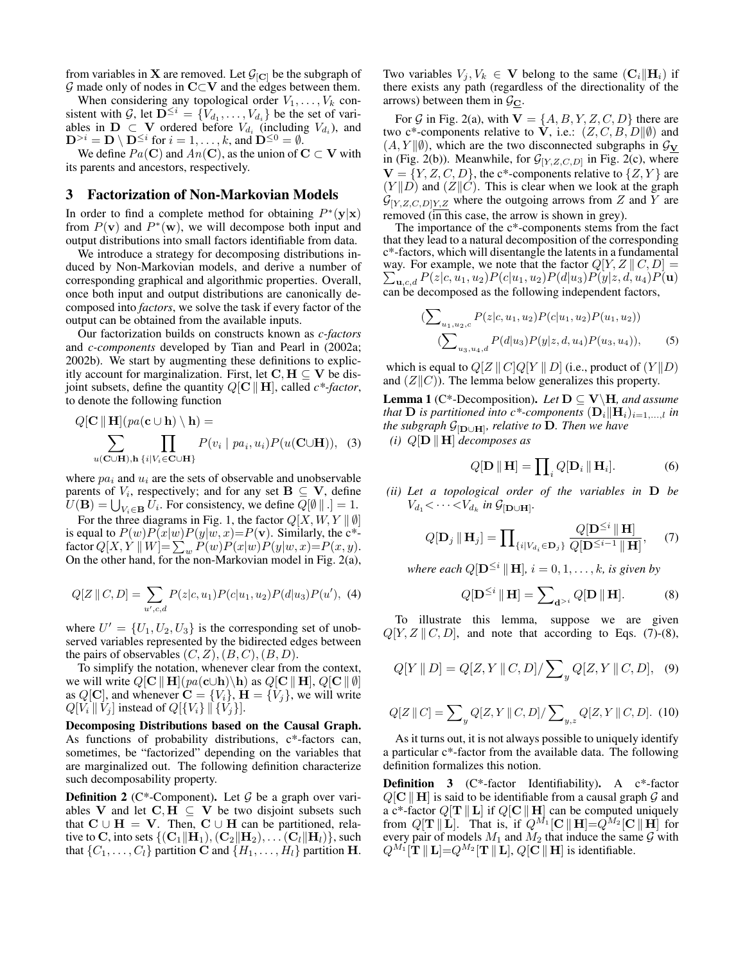from variables in **X** are removed. Let  $\mathcal{G}_{[C]}$  be the subgraph of  $G$  made only of nodes in  $C\subset V$  and the edges between them.

When considering any topological order  $V_1, \ldots, V_k$  consistent with G, let  $\mathbf{D}^{\leq i} = \{V_{d_1}, \ldots, V_{d_i}\}$  be the set of variables in  $D \subset V$  ordered before  $V_{d_i}$  (including  $V_{d_i}$ ), and  $\mathbf{D}^{>i} = \mathbf{D} \setminus \mathbf{D}^{\leq i}$  for  $i = 1, \ldots, k$ , and  $\mathbf{D}^{\leq 0} = \emptyset$ .

We define  $Pa(C)$  and  $An(C)$ , as the union of  $C \subset V$  with its parents and ancestors, respectively.

#### <span id="page-2-0"></span>3 Factorization of Non-Markovian Models

In order to find a complete method for obtaining  $P^*(y|x)$ from  $P(\mathbf{v})$  and  $P^*(\mathbf{w})$ , we will decompose both input and output distributions into small factors identifiable from data.

We introduce a strategy for decomposing distributions induced by Non-Markovian models, and derive a number of corresponding graphical and algorithmic properties. Overall, once both input and output distributions are canonically decomposed into *factors*, we solve the task if every factor of the output can be obtained from the available inputs.

Our factorization builds on constructs known as *c-factors* and *c-components* developed by [Tian and Pearl](#page-6-16) in [\(2002a;](#page-6-16) [2002b\)](#page-6-17). We start by augmenting these definitions to explicitly account for marginalization. First, let  $C, H \subseteq V$  be disjoint subsets, define the quantity  $Q[\mathbf{C} \Vert \mathbf{H}]$ , called  $c^*$ -factor, to denote the following function

$$
Q[\mathbf{C} \parallel \mathbf{H}](pa(\mathbf{c} \cup \mathbf{h}) \setminus \mathbf{h}) =
$$
  

$$
\sum_{u(\mathbf{C} \cup \mathbf{H}), h \{i \mid V_i \in \mathbf{C} \cup \mathbf{H}\}} P(v_i \mid pa_i, u_i) P(u(\mathbf{C} \cup \mathbf{H})), \quad (3)
$$

where  $pa_i$  and  $u_i$  are the sets of observable and unobservable parents of  $V_i$ , respectively; and for any set  $B \subseteq V$ , define  $U(\mathbf{B}) = \bigcup_{V_i \in \mathbf{B}} U_i$ . For consistency, we define  $Q[\emptyset \mid \cdot] = 1$ .

For the three diagrams in Fig. [1,](#page-1-0) the factor  $Q[X, W, Y \mid \emptyset]$ is equal to  $P(w)P(x|w)P(y|w, x) = P(v)$ . Similarly, the c<sup>\*</sup>factor  $Q[X, Y \parallel W] = \sum_{w} P(w) P(x|w) P(y|w, x) = P(x, y).$ On the other hand, for the non-Markovian model in Fig. [2\(a\),](#page-3-1)

<span id="page-2-5"></span>
$$
Q[Z \parallel C, D] = \sum_{u',c,d} P(z|c,u_1)P(c|u_1,u_2)P(d|u_3)P(u'), \tag{4}
$$

where  $U' = \{U_1, U_2, U_3\}$  is the corresponding set of unobserved variables represented by the bidirected edges between the pairs of observables  $(C, Z), (B, C), (B, D)$ .

To simplify the notation, whenever clear from the context, we will write  $Q[\mathbf{C} \parallel \mathbf{H}](pa(\mathbf{c} \cup \mathbf{h}) \setminus \mathbf{h})$  as  $Q[\mathbf{C} \parallel \mathbf{H}], Q[\mathbf{C} \parallel \emptyset]$ as  $Q[\mathbf{C}]$ , and whenever  $\mathbf{C} = \{V_i\}$ ,  $\mathbf{H} = \{V_j\}$ , we will write  $Q[V_i \mid V_j]$  instead of  $Q[{V_i} \mid {V_j}].$ 

Decomposing Distributions based on the Causal Graph. As functions of probability distributions, c\*-factors can, sometimes, be "factorized" depending on the variables that are marginalized out. The following definition characterize such decomposability property.

**Definition 2** (C\*-Component). Let  $G$  be a graph over variables V and let  $C, H \subseteq V$  be two disjoint subsets such that  $C \cup H = V$ . Then,  $C \cup H$  can be partitioned, relative to C, into sets  $\{(\mathbf{C}_1||\mathbf{H}_1),(\mathbf{C}_2||\mathbf{H}_2),\dots(\mathbf{C}_l||\mathbf{H}_l)\},$  such that  $\{C_1, \ldots, C_l\}$  partition **C** and  $\{H_1, \ldots, H_l\}$  partition **H**. Two variables  $V_i, V_k \in \mathbf{V}$  belong to the same  $(\mathbf{C}_i || \mathbf{H}_i)$  if there exists any path (regardless of the directionality of the arrows) between them in  $\mathcal{G}_{\mathbf{C}}$ .

For G in Fig. [2\(a\),](#page-3-1) with  $V = \{A, B, Y, Z, C, D\}$  there are two c\*-components relative to V, i.e.:  $(Z, C, B, D \| \emptyset)$  and  $(A, Y \| \emptyset)$ , which are the two disconnected subgraphs in  $\mathcal{G}_{V}$ in (Fig. [2\(b\)\)](#page-3-1). Meanwhile, for  $G_{[Y,Z,C,D]}$  in Fig. [2\(c\),](#page-3-1) where  $V = \{Y, Z, C, D\}$ , the c\*-components relative to  $\{Z, Y\}$  are  $(Y||D)$  and  $(Z||C)$ . This is clear when we look at the graph  $\mathcal{G}_{[Y,Z,C,D]Y,Z}$  where the outgoing arrows from Z and Y are removed  $(\overline{in}$  this case, the arrow is shown in grey).

The importance of the c\*-components stems from the fact that they lead to a natural decomposition of the corresponding c\*-factors, which will disentangle the latents in a fundamental way. For example, we note that the factor  $Q[Y, Z \mid\mid C, D] =$  $\sum_{\mathbf{u},c,d} P(z|c,u_1,u_2) P(c|u_1,u_2) P(d|u_3) P(y|z,d,u_4) P(\mathbf{u})$ can be decomposed as the following independent factors,

$$
\left(\sum_{u_1, u_2, c} P(z|c, u_1, u_2) P(c|u_1, u_2) P(u_1, u_2)\right) \left(\sum_{u_3, u_4, d} P(d|u_3) P(y|z, d, u_4) P(u_3, u_4)\right),\right)
$$
(5)

which is equal to  $Q[Z || C]Q[Y || D]$  (i.e., product of  $(Y || D)$ and  $(Z||C)$ ). The lemma below generalizes this property.

<span id="page-2-4"></span><span id="page-2-3"></span>**Lemma 1** (C\*-Decomposition). Let  $D \subseteq V\backslash H$ , and assume *that* **D** *is partitioned into c\*-components*  $(D_i||H_i)_{i=1,\ldots,l}$  *in the subgraph* G[D∪H] *, relative to* D*. Then we have (i)*  $Q[D \mid H]$  *decomposes as* 

<span id="page-2-1"></span>
$$
Q[\mathbf{D} \parallel \mathbf{H}] = \prod_{i} Q[\mathbf{D}_i \parallel \mathbf{H}_i]. \tag{6}
$$

<span id="page-2-6"></span>*(ii) Let a topological order of the variables in* D *be*  $V_{d_1}$  <  $\cdots$  <  $V_{d_k}$  in  $\mathcal{G}_{[\mathbf{D}\cup\mathbf{H}]}$ .

$$
Q[\mathbf{D}_j \parallel \mathbf{H}_j] = \prod_{\{i \mid V_{d_i} \in \mathbf{D}_j\}} \frac{Q[\mathbf{D}^{\leq i} \parallel \mathbf{H}]}{Q[\mathbf{D}^{\leq i-1} \parallel \mathbf{H}]}, \quad (7)
$$

*where each*  $Q[\mathbf{D}^{\leq i} \parallel \mathbf{H}]$ ,  $i = 0, 1, \ldots, k$ , is given by

<span id="page-2-2"></span>
$$
Q[\mathbf{D}^{\leq i} \, \| \, \mathbf{H}] = \sum_{\mathbf{d} \geq i} Q[\mathbf{D} \, \| \, \mathbf{H}]. \tag{8}
$$

To illustrate this lemma, suppose we are given  $Q[Y, Z \mid C, D]$ , and note that according to Eqs. [\(7\)](#page-2-1)-[\(8\)](#page-2-2),

$$
Q[Y || D] = Q[Z, Y || C, D] / \sum_{y} Q[Z, Y || C, D], (9)
$$

$$
Q[Z \parallel C] = \sum_{y} Q[Z, Y \parallel C, D] / \sum_{y,z} Q[Z, Y \parallel C, D]. \tag{10}
$$

As it turns out, it is not always possible to uniquely identify a particular c\*-factor from the available data. The following definition formalizes this notion.

Definition 3 (C\*-factor Identifiability). A c\*-factor  $Q[\mathbf{C} \Vert \mathbf{H}]$  is said to be identifiable from a causal graph G and a c\*-factor  $Q[T || L]$  if  $Q[C || H]$  can be computed uniquely from  $Q[\mathbf{T} \parallel \mathbf{L}]$ . That is, if  $Q^{M_1}[\mathbf{C} \parallel \mathbf{H}] = Q^{M_2}[\mathbf{C} \parallel \mathbf{H}]$  for every pair of models  $M_1$  and  $M_2$  that induce the same  $\mathcal G$  with  $Q^{M_1}[\mathbf{\hat{T}} \parallel \mathbf{L}] = Q^{M_2}[\mathbf{T} \parallel \mathbf{L}], Q[\mathbf{C} \parallel \mathbf{H}]$  is identifiable.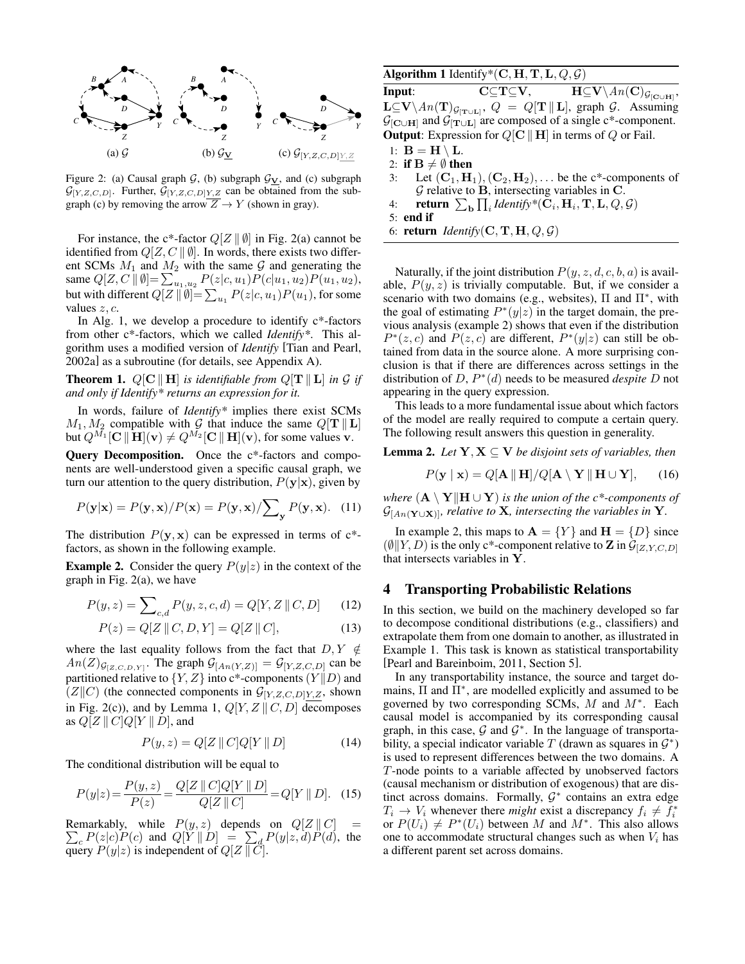<span id="page-3-1"></span>

Figure 2: [\(a\)](#page-3-1) Causal graph  $G$ , [\(b\)](#page-3-1) subgraph  $G_V$ , and [\(c\)](#page-3-1) subgraph  $\mathcal{G}_{[Y,Z,C,D]}$ . Further,  $\mathcal{G}_{[Y,Z,C,D]Y,Z}$  can be obtained from the sub-graph [\(c\)](#page-3-1) by removing the arrow  $Z \to Y$  (shown in gray).

For instance, the c\*-factor  $Q[Z \mid \emptyset]$  in Fig. [2\(a\)](#page-3-1) cannot be identified from  $Q[Z, C \parallel \emptyset]$ . In words, there exists two different SCMs  $M_1$  and  $M_2$  with the same G and generating the same  $Q[Z, C \mid \emptyset] = \sum_{u_1, u_2} P(z|c, u_1) P(c|u_1, u_2) P(u_1, u_2),$ but with different  $Q[Z \parallel \emptyset] = \sum_{u_1} P(z|c, u_1) P(u_1)$ , for some values  $z, c$ .

In Alg. [1,](#page-3-2) we develop a procedure to identify  $c^*$ -factors from other c\*-factors, which we called *Identify\**. This algorithm uses a modified version of *Identify* [\[Tian and Pearl,](#page-6-16) [2002a\]](#page-6-16) as a subroutine (for details, see Appendix A).

<span id="page-3-5"></span>**Theorem 1.**  $Q[\mathbf{C} \parallel \mathbf{H}]$  *is identifiable from*  $Q[\mathbf{T} \parallel \mathbf{L}]$  *in*  $\mathcal{G}$  *if and only if Identify\* returns an expression for it.*

In words, failure of *Identify\** implies there exist SCMs  $M_1, M_2$  compatible with  $\mathcal G$  that induce the same  $Q[\mathbf{T} \parallel \mathbf{L}]$ but  $Q^{M_1}[\mathbf{C} \|\mathbf{H}](\mathbf{v}) \neq Q^{M_2}[\mathbf{C} \|\mathbf{H}](\mathbf{v})$ , for some values v.

Query Decomposition. Once the c\*-factors and components are well-understood given a specific causal graph, we turn our attention to the query distribution,  $P(y|x)$ , given by

$$
P(\mathbf{y}|\mathbf{x}) = P(\mathbf{y}, \mathbf{x}) / P(\mathbf{x}) = P(\mathbf{y}, \mathbf{x}) / \sum_{\mathbf{y}} P(\mathbf{y}, \mathbf{x}). \quad (11)
$$

The distribution  $P(y, x)$  can be expressed in terms of  $c^*$ factors, as shown in the following example.

<span id="page-3-3"></span>**Example 2.** Consider the query  $P(y|z)$  in the context of the graph in Fig. [2\(a\),](#page-3-1) we have

$$
P(y, z) = \sum_{c,d} P(y, z, c, d) = Q[Y, Z \mid Z, D] \tag{12}
$$

$$
P(z) = Q[Z \parallel C, D, Y] = Q[Z \parallel C], \tag{13}
$$

where the last equality follows from the fact that  $D, Y \notin$  $An(Z)_{\mathcal{G}_{[Z,C,D,Y]}}$ . The graph  $\mathcal{G}_{[An(Y,Z)]} = \mathcal{G}_{[Y,Z,C,D]}$  can be partitioned relative to  $\{Y, Z\}$  into c\*-components  $(Y \| D)$  and  $(Z||C)$  (the connected components in  $\mathcal{G}_{[Y,Z,C,D]Y,Z}$ , shown in Fig. [2\(c\)\)](#page-3-1), and by Lemma [1,](#page-2-3)  $Q[Y, Z \mid C, D]$  decomposes as  $Q[Z \mid C] Q[Y \mid D]$ , and

$$
P(y, z) = Q[Z || C]Q[Y || D]
$$
 (14)

The conditional distribution will be equal to

$$
P(y|z) = \frac{P(y,z)}{P(z)} = \frac{Q[Z \parallel C]Q[Y \parallel D]}{Q[Z \parallel C]} = Q[Y \parallel D]. \quad (15)
$$

Remarkably, while  $P(y, z)$  depends on  $Q[Z || C] =$  $\sum_{c} P(z|c)P(c)$  and  $Q[Y || D] = \sum_{d} P(y|z, d)P(d)$ , the query  $P(y|z)$  is independent of  $Q[Z \mid Z]$ .

#### <span id="page-3-2"></span>Algorithm 1 Identify\*(C, H, T, L,  $Q$ ,  $\mathcal{G}$ )

**Input:**  $\mathbf{C}\subseteq \mathbf{T}\subseteq \mathbf{V}$ ,  $\mathbf{H}\subseteq \mathbf{V}\setminus An(\mathbf{C})_{\mathcal{G}_{[\mathbf{C}\cup \mathbf{H}]}},$  $\mathbf{L}\subseteq\mathbf{V}\setminus\textit{An}(\mathbf{T})_{\mathcal{G}_{[\mathbf{T}\cup\mathbf{L}]}},\ Q\ =\ Q[\mathbf{T}\,\|\,\mathbf{L}],\ \text{graph}\ \mathcal{G}. \ \ \text{Assuming}$  $\mathcal{G}_{\left[\mathbf{C}\cup\mathbf{H}\right]}$  and  $\mathcal{G}_{\left[\mathbf{T}\cup\mathbf{L}\right]}$  are composed of a single c\*-component. **Output:** Expression for  $Q[\mathbf{C} \parallel \mathbf{H}]$  in terms of Q or Fail.

1:  $B = H \setminus L$ .

- 2: if  $B \neq \emptyset$  then
- 3: Let  $(C_1, H_1), (C_2, H_2), \ldots$  be the c\*-components of  $G$  relative to  $B$ , intersecting variables in  $C$ .
- <span id="page-3-7"></span>4: **return**  $\sum_{\mathbf{b}} \prod_i \text{Identity}^*(\mathbf{C}_i, \mathbf{H}_i, \mathbf{T}, \mathbf{L}, Q, \mathcal{G})$
- <span id="page-3-6"></span>5: end if
- 6: **return** *Identify*( $C, T, H, Q, G$ )

Naturally, if the joint distribution  $P(y, z, d, c, b, a)$  is available,  $P(y, z)$  is trivially computable. But, if we consider a scenario with two domains (e.g., websites),  $\Pi$  and  $\Pi^*$ , with the goal of estimating  $P^*(y|z)$  in the target domain, the previous analysis (example [2\)](#page-3-3) shows that even if the distribution  $P^*(z, c)$  and  $P(z, c)$  are different,  $P^*(y|z)$  can still be obtained from data in the source alone. A more surprising conclusion is that if there are differences across settings in the distribution of D, P ∗ (d) needs to be measured *despite* D not appearing in the query expression.

This leads to a more fundamental issue about which factors of the model are really required to compute a certain query. The following result answers this question in generality.

<span id="page-3-4"></span>**Lemma 2.** *Let*  $Y, X \subseteq V$  *be disjoint sets of variables, then* 

$$
P(\mathbf{y} \mid \mathbf{x}) = Q[\mathbf{A} \parallel \mathbf{H}]/Q[\mathbf{A} \setminus \mathbf{Y} \parallel \mathbf{H} \cup \mathbf{Y}], \quad (16)
$$

*where*  $(A \setminus Y \Vert H \cup Y)$  *is the union of the c\*-components of*  $\mathcal{G}_{[An(\mathbf{Y}\cup\mathbf{X})]}$ *, relative to* **X***, intersecting the variables in* **Y***.* 

In example [2,](#page-3-3) this maps to  $A = \{Y\}$  and  $H = \{D\}$  since  $(\emptyset||Y, D)$  is the only c\*-component relative to **Z** in  $\mathcal{G}_{[Z, Y, C, D]}$ that intersects variables in Y.

#### <span id="page-3-0"></span>4 Transporting Probabilistic Relations

In this section, we build on the machinery developed so far to decompose conditional distributions (e.g., classifiers) and extrapolate them from one domain to another, as illustrated in Example [1.](#page-0-0) This task is known as statistical transportability [\[Pearl and Bareinboim, 2011,](#page-6-5) Section 5].

In any transportability instance, the source and target domains,  $\Pi$  and  $\Pi^*$ , are modelled explicitly and assumed to be governed by two corresponding SCMs,  $M$  and  $M^*$ . Each causal model is accompanied by its corresponding causal graph, in this case,  $G$  and  $G^*$ . In the language of transportability, a special indicator variable T (drawn as squares in  $\mathcal{G}^*$ ) is used to represent differences between the two domains. A T-node points to a variable affected by unobserved factors (causal mechanism or distribution of exogenous) that are distinct across domains. Formally,  $G^*$  contains an extra edge  $T_i \rightarrow V_i$  whenever there *might* exist a discrepancy  $f_i \neq \tilde{f}_i^*$ or  $P(U_i) \neq P^*(U_i)$  between M and  $M^*$ . This also allows one to accommodate structural changes such as when  $V_i$  has a different parent set across domains.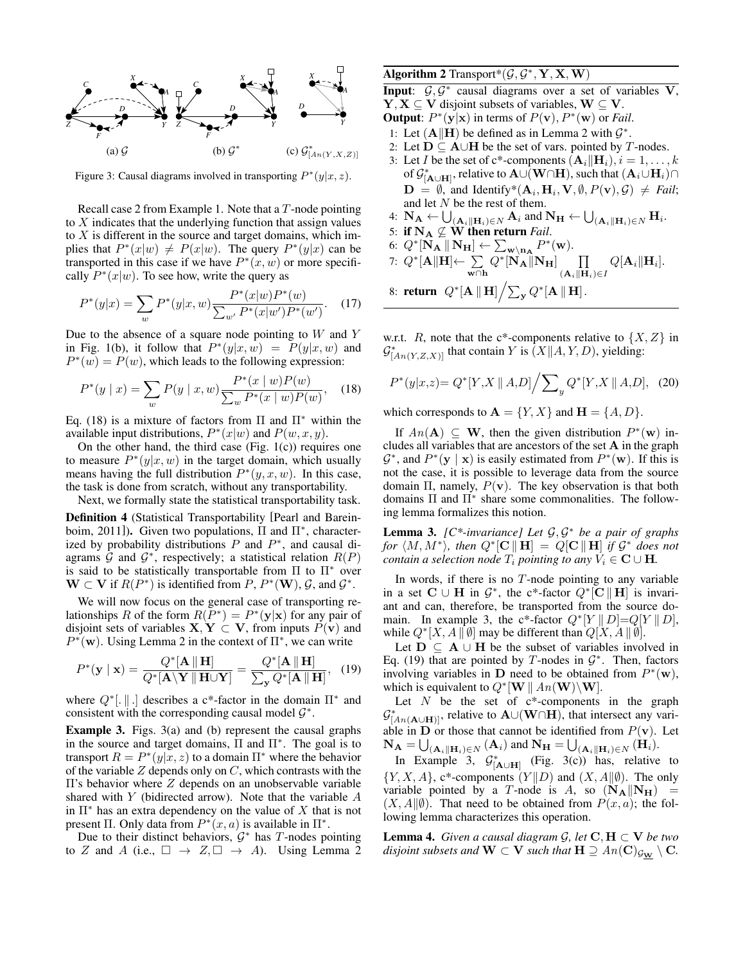<span id="page-4-1"></span>

Figure 3: Causal diagrams involved in transporting  $P^*(y|x, z)$ .

Recall case 2 from Example [1.](#page-0-0) Note that a T-node pointing to X indicates that the underlying function that assign values to  $X$  is different in the source and target domains, which implies that  $P^*(x|w) \neq P(x|w)$ . The query  $P^*(y|x)$  can be transported in this case if we have  $P^*(x, w)$  or more specifically  $P^*(x|w)$ . To see how, write the query as

$$
P^*(y|x) = \sum_{w} P^*(y|x, w) \frac{P^*(x|w)P^*(w)}{\sum_{w'} P^*(x|w')P^*(w')}.
$$
 (17)

Due to the absence of a square node pointing to  $W$  and  $Y$ in Fig. [1\(b\),](#page-1-0) it follow that  $P^*(y|x, w) = P(y|x, w)$  and  $P^*(w) = P(w)$ , which leads to the following expression:

$$
P^*(y \mid x) = \sum_{w} P(y \mid x, w) \frac{P^*(x \mid w) P(w)}{\sum_{w} P^*(x \mid w) P(w)}, \quad (18)
$$

Eq. [\(18\)](#page-4-0) is a mixture of factors from Π and  $\Pi^*$  within the available input distributions,  $P^*(x|w)$  and  $P(w, x, y)$ .

On the other hand, the third case (Fig.  $1(c)$ ) requires one to measure  $P^*(y|x, w)$  in the target domain, which usually means having the full distribution  $P^*(y, x, w)$ . In this case, the task is done from scratch, without any transportability.

Next, we formally state the statistical transportability task.

Definition 4 (Statistical Transportability [\[Pearl and Barein](#page-6-5)[boim, 2011\]](#page-6-5)). Given two populations, Π and Π<sup>∗</sup> , characterized by probability distributions  $P$  and  $P^*$ , and causal diagrams  $\hat{G}$  and  $\mathcal{G}^*$ , respectively; a statistical relation  $R(P)$ is said to be statistically transportable from  $\Pi$  to  $\Pi^*$  over  $\mathbf{W} \subset \mathbf{V}$  if  $R(P^*)$  is identified from P,  $P^*(\mathbf{W})$ ,  $\mathcal{G}$ , and  $\mathcal{G}^*$ .

We will now focus on the general case of transporting relationships R of the form  $R(P^*) = P^*(y|x)$  for any pair of disjoint sets of variables  $X, Y \subset V$ , from inputs  $P(v)$  and  $P^*(\mathbf{w})$ . Using Lemma [2](#page-3-4) in the context of  $\Pi^*$ , we can write

$$
P^*(\mathbf{y} \mid \mathbf{x}) = \frac{Q^*[\mathbf{A} \parallel \mathbf{H}]}{Q^*[\mathbf{A} \setminus \mathbf{Y} \parallel \mathbf{H} \cup \mathbf{Y}]} = \frac{Q^*[\mathbf{A} \parallel \mathbf{H}]}{\sum_{\mathbf{y}} Q^*[\mathbf{A} \parallel \mathbf{H}]}, \quad (19)
$$

where  $Q^*$ [. || .] describes a c<sup>\*</sup>-factor in the domain  $\Pi^*$  and consistent with the corresponding causal model  $\mathcal{G}^*$ .

<span id="page-4-2"></span>Example 3. Figs. [3\(a\)](#page-4-1) and (b) represent the causal graphs in the source and target domains,  $\Pi$  and  $\Pi^*$ . The goal is to transport  $R = P^*(y|x, z)$  to a domain  $\Pi^*$  where the behavior of the variable  $Z$  depends only on  $C$ , which contrasts with the  $\Pi$ 's behavior where  $Z$  depends on an unobservable variable shared with  $Y$  (bidirected arrow). Note that the variable  $A$ in  $\Pi^*$  has an extra dependency on the value of X that is not present  $\Pi$ . Only data from  $P^*(x, a)$  is available in  $\Pi^*$ .

Due to their distinct behaviors,  $G^*$  has T-nodes pointing to Z and A (i.e.,  $\Box \rightarrow Z, \Box \rightarrow A$ ). Using Lemma [2](#page-3-4)

## <span id="page-4-5"></span>Algorithm 2 Transport\* $(\mathcal{G}, \mathcal{G}^*, \mathbf{Y}, \mathbf{X}, \mathbf{W})$

Input:  $G, G^*$  causal diagrams over a set of variables V,

- $Y, X \subseteq V$  disjoint subsets of variables,  $W \subseteq V$ . **Output**:  $P^*(y|x)$  in terms of  $P(v)$ ,  $P^*(w)$  or *Fail*.
- 1: Let  $(A||H)$  be defined as in Lemma [2](#page-3-4) with  $\mathcal{G}^*$ .
- 2: Let  $D ⊆ A∪H$  be the set of vars. pointed by *T*-nodes.
- 3: Let *I* be the set of c\*-components  $(\mathbf{A}_i||\mathbf{H}_i), i = 1, \ldots, k$ of  $\mathcal{G}^*_{{[\mathbf{A}\cup\mathbf{H}]}},$  relative to  $\mathbf{A}\cup\overline{\mathbf{(W\cap\mathbf{H})}},$  such that  $(\mathbf{A}_i\cup\mathbf{H}_i)\cap$  $\mathbf{D} = \emptyset$ , and Identify\* $(\mathbf{A}_i, \mathbf{H}_i, \mathbf{V}, \emptyset, P(\mathbf{v}), \mathcal{G}) \neq \textit{Fail};$ and let N be the rest of them.
- 4:  $\mathbf{N}_{\mathbf{A}} \leftarrow \bigcup_{(\mathbf{A}_i \parallel \mathbf{H}_i) \in N} \mathbf{A}_i$  and  $\mathbf{N}_{\mathbf{H}} \leftarrow \bigcup_{(\mathbf{A}_i \parallel \mathbf{H}_i) \in N} \mathbf{H}_i$ .
- 5: if  $N_A \nsubseteq W$  then return *Fail*.
- 6:  $Q^*[\mathbf{N}_\mathbf{A} \parallel \mathbf{N}_\mathbf{H}] \leftarrow \sum_{\mathbf{w} \setminus \mathbf{n}_\mathbf{A}} P^*(\mathbf{w}).$

7: 
$$
Q^*[\mathbf{A} \|\mathbf{H}] \leftarrow \sum_{\mathbf{w} \cap \mathbf{h}} Q^*[\mathbf{N}_{\mathbf{A}} \|\mathbf{N}_{\mathbf{H}}] \prod_{(\mathbf{A}_i \|\mathbf{H}_i) \in I} Q[\mathbf{A}_i \|\mathbf{H}_i].
$$

8: return 
$$
Q^*[\mathbf{A} \parallel \mathbf{H}] / \sum_{\mathbf{y}} Q^*[\mathbf{A} \parallel \mathbf{H}].
$$

w.r.t. R, note that the c\*-components relative to  $\{X, Z\}$  in  $\mathcal{G}_{[An(Y,Z,X)]}^*$  that contain Y is  $(X||A, Y, D)$ , yielding:

<span id="page-4-0"></span>
$$
P^*(y|x,z) = Q^*[Y,X \parallel A,D] / \sum_{y} Q^*[Y,X \parallel A,D], \quad (20)
$$

which corresponds to  $\mathbf{A} = \{Y, X\}$  and  $\mathbf{H} = \{A, D\}.$ 

If  $An(\mathbf{A}) \subseteq \mathbf{W}$ , then the given distribution  $P^*(\mathbf{w})$  includes all variables that are ancestors of the set A in the graph  $\mathcal{G}^*$ , and  $P^*(y \mid x)$  is easily estimated from  $P^*(w)$ . If this is not the case, it is possible to leverage data from the source domain  $\Pi$ , namely,  $P(\mathbf{v})$ . The key observation is that both domains Π and Π<sup>∗</sup> share some commonalities. The following lemma formalizes this notion.

<span id="page-4-6"></span>Lemma 3. *[C\*-invariance] Let* G, G <sup>∗</sup> *be a pair of graphs for*  $\langle M, M^* \rangle$ , then  $Q^*[\mathbf{C} \parallel \mathbf{H}] = Q[\mathbf{C} \parallel \mathbf{H}]$  *if*  $G^*$  *does not contain a selection node*  $T_i$  *pointing to any*  $V_i \in \mathbf{C} \cup \mathbf{H}$ *.* 

In words, if there is no  $T$ -node pointing to any variable in a set  $C \cup H$  in  $\mathcal{G}^*$ , the c\*-factor  $Q^*[\mathbf{C} \Vert \mathbf{H}]$  is invariant and can, therefore, be transported from the source do-main. In example [3,](#page-4-2) the c\*-factor  $Q^*[Y \mid D]=Q[Y \mid D]$ , while  $Q^*[X, A \parallel \emptyset]$  may be different than  $Q[X, A \parallel \emptyset]$ .

<span id="page-4-3"></span>Let  $D \subseteq A \cup H$  be the subset of variables involved in Eq. [\(19\)](#page-4-3) that are pointed by T-nodes in  $\mathcal{G}^*$ . Then, factors involving variables in D need to be obtained from  $P^*(\mathbf{w})$ , which is equivalent to  $Q^*[\mathbf{W} \mid An(\mathbf{W}) \backslash \mathbf{W}].$ 

Let  $N$  be the set of  $c^*$ -components in the graph  $\mathcal{G}_{[An(\mathbf{A}\cup\mathbf{H})]}^*$ , relative to  $\mathbf{A}\cup(\mathbf{W}\cap\mathbf{H})$ , that intersect any variable in **D** or those that cannot be identified from  $P(\mathbf{v})$ . Let  $\mathbf{N}_{\mathbf{A}} = \bigcup_{(\mathbf{A}_i \parallel \mathbf{H}_i) \in N} (\mathbf{A}_i)$  and  $\mathbf{N}_{\mathbf{H}} = \bigcup_{(\mathbf{A}_i \parallel \mathbf{H}_i) \in N} (\mathbf{H}_i)$ .

In Example [3,](#page-4-2)  $\mathcal{G}_{\left[\mathbf{A}\cup\mathbf{H}\right]}^{*}$  (Fig. [3\(c\)\)](#page-4-1) has, relative to  ${Y, X, A}$ , c\*-components  $(Y||D)$  and  $(X, A||\emptyset)$ . The only variable pointed by a T-node is A, so  $(N_A||N_H)$  =  $(X, A||\emptyset)$ . That need to be obtained from  $P(x, a)$ ; the following lemma characterizes this operation.

<span id="page-4-4"></span>**Lemma 4.** *Given a causal diagram*  $\mathcal{G}$ *, let*  $\mathbf{C}, \mathbf{H} \subset \mathbf{V}$  *be two disjoint subsets and*  $W \subset V$  *such that*  $H \supseteq An(C)_{\mathcal{G}_W} \setminus C$ *.*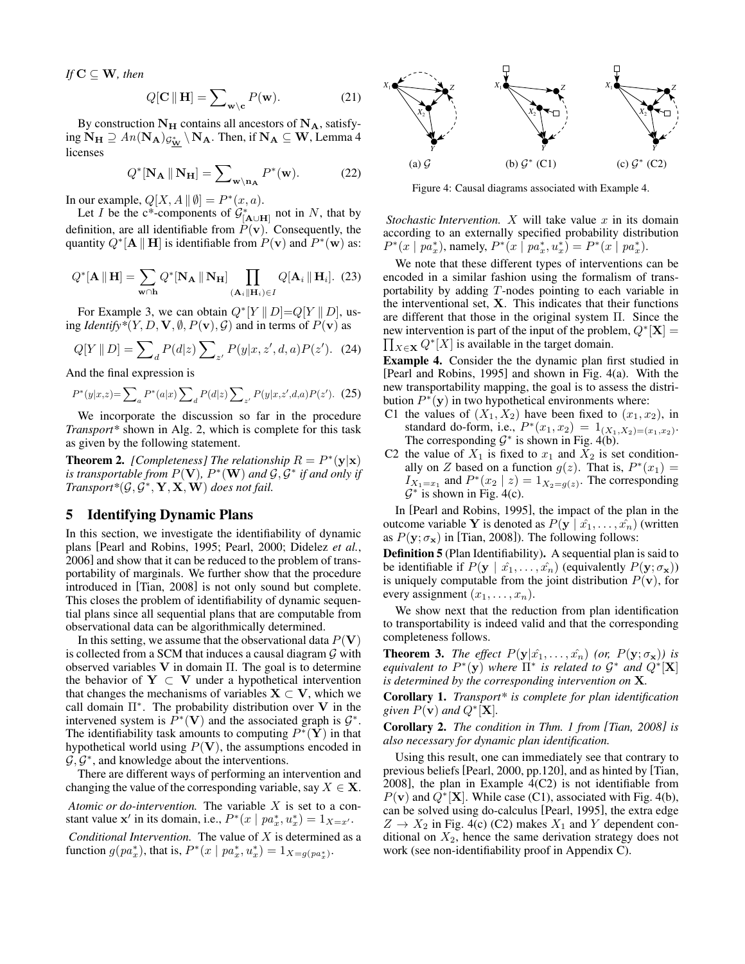*If*  $C \subseteq W$ *, then* 

$$
Q[\mathbf{C} \|\mathbf{H}] = \sum_{\mathbf{w} \setminus \mathbf{c}} P(\mathbf{w}). \tag{21}
$$

By construction  $N_H$  contains all ancestors of  $N_A$ , satisfying  $N_H \supseteq An(N_A)_{\mathcal{G}_{\mathbf{W}}^*} \setminus N_A$ . Then, if  $N_A \subseteq W$ , Lemma [4](#page-4-4) licenses

$$
Q^*[\mathbf{N}_{\mathbf{A}} \|\mathbf{N}_{\mathbf{H}}] = \sum_{\mathbf{w} \setminus \mathbf{n}_{\mathbf{A}}} P^*(\mathbf{w}). \tag{22}
$$

In our example,  $Q[X, A \mid \emptyset] = P^*(x, a)$ .

Let *I* be the c<sup>\*</sup>-components of  $\mathcal{G}_{[\mathbf{A}\cup\mathbf{H}]}^*$  not in *N*, that by definition, are all identifiable from  $P(\mathbf{v})$ . Consequently, the quantity  $Q^*[\mathbf{A} \Vert \mathbf{H}]$  is identifiable from  $P(\mathbf{v})$  and  $P^*(\mathbf{w})$  as:

$$
Q^{\ast}[\mathbf{A} \parallel \mathbf{H}] = \sum_{\mathbf{w} \cap \mathbf{h}} Q^{\ast}[\mathbf{N}_{\mathbf{A}} \parallel \mathbf{N}_{\mathbf{H}}] \prod_{(\mathbf{A}_{i} \parallel \mathbf{H}_{i}) \in I} Q[\mathbf{A}_{i} \parallel \mathbf{H}_{i}]. (23)
$$

For Example [3,](#page-4-2) we can obtain  $Q^*[Y \mid D]=Q[Y \mid D]$ , using *Identify*\* $(Y, D, \mathbf{V}, \emptyset, P(\mathbf{v}), \mathcal{G})$  and in terms of  $P(\mathbf{v})$  as

$$
Q[Y \parallel D] = \sum_{d} P(d|z) \sum_{z'} P(y|x, z', d, a) P(z'). \quad (24)
$$

And the final expression is

$$
P^*(y|x,z) = \sum_{a} P^*(a|x) \sum_{d} P(d|z) \sum_{z'} P(y|x,z',d,a) P(z'). \tag{25}
$$

We incorporate the discussion so far in the procedure *Transport\** shown in Alg. [2,](#page-4-5) which is complete for this task as given by the following statement.

<span id="page-5-3"></span>**Theorem 2.** [Completeness] The relationship  $R = P^*(y|x)$ is transportable from  $P(\mathbf{V})$ ,  $P^*(\mathbf{W})$  and  $\mathcal{G}, \mathcal{G}^*$  if and only if  $Transport*(\mathcal{G}, \mathcal{G}^*, \mathbf{Y}, \mathbf{X}, \mathbf{W})$  does not fail.

## <span id="page-5-0"></span>5 Identifying Dynamic Plans

In this section, we investigate the identifiability of dynamic plans [\[Pearl and Robins, 1995;](#page-6-14) [Pearl, 2000;](#page-6-0) [Didelez](#page-6-18) *et al.*, [2006\]](#page-6-18) and show that it can be reduced to the problem of transportability of marginals. We further show that the procedure introduced in [\[Tian, 2008\]](#page-7-2) is not only sound but complete. This closes the problem of identifiability of dynamic sequential plans since all sequential plans that are computable from observational data can be algorithmically determined.

In this setting, we assume that the observational data  $P(V)$ is collected from a SCM that induces a causal diagram  $G$  with observed variables  $V$  in domain  $\Pi$ . The goal is to determine the behavior of  $Y \subset V$  under a hypothetical intervention that changes the mechanisms of variables  $X \subset V$ , which we call domain  $\Pi^*$ . The probability distribution over V in the intervened system is  $\hat{P}^*(V)$  and the associated graph is  $\mathcal{G}^*$ . The identifiability task amounts to computing  $P^*(\tilde{\mathbf{Y}})$  in that hypothetical world using  $P(V)$ , the assumptions encoded in  $\mathcal{G}, \mathcal{G}^*$ , and knowledge about the interventions.

There are different ways of performing an intervention and changing the value of the corresponding variable, say  $X \in \mathbf{X}$ .

*Atomic or do-intervention.* The variable X is set to a constant value  $\mathbf{x}'$  in its domain, i.e.,  $P^*(x \mid pa_x^*, u_x^*) = 1_{X=x'}$ . *Conditional Intervention.* The value of X is determined as a function  $g(pa_x^*$ ), that is,  $P^*(x \mid pa_x^*, u_x^*) = 1_{X = g(pa_x^*}.$ 

<span id="page-5-5"></span><span id="page-5-2"></span>

Figure 4: Causal diagrams associated with Example [4.](#page-5-1)

*Stochastic Intervention.*  $X$  will take value  $x$  in its domain according to an externally specified probability distribution  $P^*(x \mid pa_x^*),$  namely,  $P^*(x \mid pa_x^*, u_x^*) = P^*(x \mid pa_x^*).$ 

We note that these different types of interventions can be encoded in a similar fashion using the formalism of transportability by adding T-nodes pointing to each variable in the interventional set,  $X$ . This indicates that their functions are different that those in the original system Π. Since the new intervention is part of the input of the problem,  $Q^*[\mathbf{X}] =$  $\prod_{X \in \mathbf{X}} Q^*[X]$  is available in the target domain.

<span id="page-5-1"></span>Example 4. Consider the the dynamic plan first studied in [\[Pearl and Robins, 1995\]](#page-6-14) and shown in Fig. [4\(a\).](#page-5-2) With the new transportability mapping, the goal is to assess the distribution  $P^*(y)$  in two hypothetical environments where:

- C1 the values of  $(X_1, X_2)$  have been fixed to  $(x_1, x_2)$ , in standard do-form, i.e.,  $P^*(x_1, x_2) = 1_{(X_1, X_2) = (x_1, x_2)}$ . The corresponding  $G^*$  is shown in Fig. [4\(b\).](#page-5-2)
- C2 the value of  $X_1$  is fixed to  $x_1$  and  $X_2$  is set conditionally on Z based on a function  $g(z)$ . That is,  $P^*(x_1) =$  $I_{X_1=x_1}$  and  $P^*(x_2 | z) = 1_{X_2=g(z)}$ . The corresponding  $G^*$  is shown in Fig. [4\(c\).](#page-5-2)

In [\[Pearl and Robins, 1995\]](#page-6-14), the impact of the plan in the outcome variable Y is denoted as  $P(y | \hat{x_1}, \dots, \hat{x_n})$  (written as  $P(y; \sigma_x)$  in [\[Tian, 2008\]](#page-7-2)). The following follows:

Definition 5 (Plan Identifiability). A sequential plan is said to be identifiable if  $P(y | \hat{x}_1, \dots, \hat{x}_n)$  (equivalently  $P(y; \sigma_x)$ ) is uniquely computable from the joint distribution  $P(\mathbf{v})$ , for every assignment  $(x_1, \ldots, x_n)$ .

We show next that the reduction from plan identification to transportability is indeed valid and that the corresponding completeness follows.

<span id="page-5-4"></span>**Theorem 3.** *The effect*  $P(y|\hat{x}_1,\ldots,\hat{x}_n)$  *(or,*  $P(y;\sigma_x)$ *) is equivalent to*  $P^*(y)$  *where*  $\Pi^*$  *is related to*  $G^*$  *and*  $Q^*[\mathbf{X}]$ *is determined by the corresponding intervention on* X*.*

Corollary 1. *Transport\* is complete for plan identification* given  $P(\mathbf{v})$  and  $Q^{\ast}[\mathbf{X}]$ .

Corollary 2. *The condition in Thm. 1 from [\[Tian, 2008\]](#page-7-2) is also necessary for dynamic plan identification.*

Using this result, one can immediately see that contrary to previous beliefs [\[Pearl, 2000,](#page-6-0) pp.120], and as hinted by [\[Tian,](#page-7-2) [2008\]](#page-7-2), the plan in Example [4\(](#page-5-1)C2) is not identifiable from  $P(\mathbf{v})$  and  $\hat{Q}^{\ast}[\mathbf{X}]$ . While case (C1), associated with Fig. [4\(b\),](#page-5-2) can be solved using do-calculus [\[Pearl, 1995\]](#page-6-19), the extra edge  $Z \rightarrow X_2$  in Fig. [4\(c\)](#page-5-2) (C2) makes  $X_1$  and Y dependent conditional on  $X_2$ , hence the same derivation strategy does not work (see non-identifiability proof in Appendix C).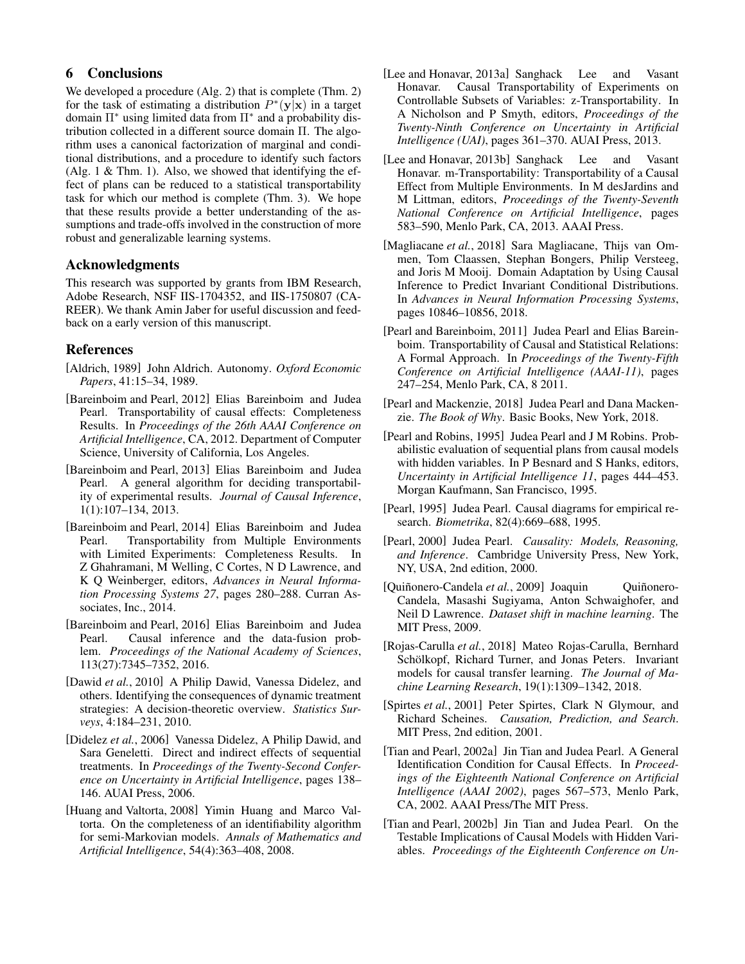# 6 Conclusions

We developed a procedure (Alg. [2\)](#page-4-5) that is complete (Thm. [2\)](#page-5-3) for the task of estimating a distribution  $P^*(y|\mathbf{x})$  in a target domain Π<sup>∗</sup> using limited data from Π<sup>∗</sup> and a probability distribution collected in a different source domain Π. The algorithm uses a canonical factorization of marginal and conditional distributions, and a procedure to identify such factors (Alg. [1](#page-3-2) & Thm. [1\)](#page-3-5). Also, we showed that identifying the effect of plans can be reduced to a statistical transportability task for which our method is complete (Thm. [3\)](#page-5-4). We hope that these results provide a better understanding of the assumptions and trade-offs involved in the construction of more robust and generalizable learning systems.

## Acknowledgments

This research was supported by grants from IBM Research, Adobe Research, NSF IIS-1704352, and IIS-1750807 (CA-REER). We thank Amin Jaber for useful discussion and feedback on a early version of this manuscript.

# References

- <span id="page-6-4"></span>[Aldrich, 1989] John Aldrich. Autonomy. *Oxford Economic Papers*, 41:15–34, 1989.
- <span id="page-6-6"></span>[Bareinboim and Pearl, 2012] Elias Bareinboim and Judea Pearl. Transportability of causal effects: Completeness Results. In *Proceedings of the 26th AAAI Conference on Artificial Intelligence*, CA, 2012. Department of Computer Science, University of California, Los Angeles.
- <span id="page-6-9"></span>[Bareinboim and Pearl, 2013] Elias Bareinboim and Judea Pearl. A general algorithm for deciding transportability of experimental results. *Journal of Causal Inference*, 1(1):107–134, 2013.
- <span id="page-6-10"></span>[Bareinboim and Pearl, 2014] Elias Bareinboim and Judea Pearl. Transportability from Multiple Environments with Limited Experiments: Completeness Results. In Z Ghahramani, M Welling, C Cortes, N D Lawrence, and K Q Weinberger, editors, *Advances in Neural Information Processing Systems 27*, pages 280–288. Curran Associates, Inc., 2014.
- <span id="page-6-2"></span>[Bareinboim and Pearl, 2016] Elias Bareinboim and Judea Pearl. Causal inference and the data-fusion problem. *Proceedings of the National Academy of Sciences*, 113(27):7345–7352, 2016.
- <span id="page-6-15"></span>[Dawid et al., 2010] A Philip Dawid, Vanessa Didelez, and others. Identifying the consequences of dynamic treatment strategies: A decision-theoretic overview. *Statistics Surveys*, 4:184–231, 2010.
- <span id="page-6-18"></span>[Didelez *et al.*, 2006] Vanessa Didelez, A Philip Dawid, and Sara Geneletti. Direct and indirect effects of sequential treatments. In *Proceedings of the Twenty-Second Conference on Uncertainty in Artificial Intelligence*, pages 138– 146. AUAI Press, 2006.
- <span id="page-6-20"></span>[Huang and Valtorta, 2008] Yimin Huang and Marco Valtorta. On the completeness of an identifiability algorithm for semi-Markovian models. *Annals of Mathematics and Artificial Intelligence*, 54(4):363–408, 2008.
- <span id="page-6-7"></span>[Lee and Honavar, 2013a] Sanghack Lee and Vasant Honavar. Causal Transportability of Experiments on Controllable Subsets of Variables: z-Transportability. In A Nicholson and P Smyth, editors, *Proceedings of the Twenty-Ninth Conference on Uncertainty in Artificial Intelligence (UAI)*, pages 361–370. AUAI Press, 2013.
- <span id="page-6-8"></span>[Lee and Honavar, 2013b] Sanghack Lee and Vasant Honavar. m-Transportability: Transportability of a Causal Effect from Multiple Environments. In M desJardins and M Littman, editors, *Proceedings of the Twenty-Seventh National Conference on Artificial Intelligence*, pages 583–590, Menlo Park, CA, 2013. AAAI Press.
- <span id="page-6-12"></span>[Magliacane *et al.*, 2018] Sara Magliacane, Thijs van Ommen, Tom Claassen, Stephan Bongers, Philip Versteeg, and Joris M Mooij. Domain Adaptation by Using Causal Inference to Predict Invariant Conditional Distributions. In *Advances in Neural Information Processing Systems*, pages 10846–10856, 2018.
- <span id="page-6-5"></span>[Pearl and Bareinboim, 2011] Judea Pearl and Elias Bareinboim. Transportability of Causal and Statistical Relations: A Formal Approach. In *Proceedings of the Twenty-Fifth Conference on Artificial Intelligence (AAAI-11)*, pages 247–254, Menlo Park, CA, 8 2011.
- <span id="page-6-3"></span>[Pearl and Mackenzie, 2018] Judea Pearl and Dana Mackenzie. *The Book of Why*. Basic Books, New York, 2018.
- <span id="page-6-14"></span>[Pearl and Robins, 1995] Judea Pearl and J M Robins. Probabilistic evaluation of sequential plans from causal models with hidden variables. In P Besnard and S Hanks, editors, *Uncertainty in Artificial Intelligence 11*, pages 444–453. Morgan Kaufmann, San Francisco, 1995.
- <span id="page-6-19"></span>[Pearl, 1995] Judea Pearl. Causal diagrams for empirical research. *Biometrika*, 82(4):669–688, 1995.
- <span id="page-6-0"></span>[Pearl, 2000] Judea Pearl. *Causality: Models, Reasoning, and Inference*. Cambridge University Press, New York, NY, USA, 2nd edition, 2000.
- <span id="page-6-11"></span>[Quiñonero-Candela et al., 2009] Joaquin Quiñonero-Candela, Masashi Sugiyama, Anton Schwaighofer, and Neil D Lawrence. *Dataset shift in machine learning*. The MIT Press, 2009.
- <span id="page-6-13"></span>[Rojas-Carulla *et al.*, 2018] Mateo Rojas-Carulla, Bernhard Schölkopf, Richard Turner, and Jonas Peters. Invariant models for causal transfer learning. *The Journal of Machine Learning Research*, 19(1):1309–1342, 2018.
- <span id="page-6-1"></span>[Spirtes *et al.*, 2001] Peter Spirtes, Clark N Glymour, and Richard Scheines. *Causation, Prediction, and Search*. MIT Press, 2nd edition, 2001.
- <span id="page-6-16"></span>[Tian and Pearl, 2002a] Jin Tian and Judea Pearl. A General Identification Condition for Causal Effects. In *Proceedings of the Eighteenth National Conference on Artificial Intelligence (AAAI 2002)*, pages 567–573, Menlo Park, CA, 2002. AAAI Press/The MIT Press.
- <span id="page-6-17"></span>[Tian and Pearl, 2002b] Jin Tian and Judea Pearl. On the Testable Implications of Causal Models with Hidden Variables. *Proceedings of the Eighteenth Conference on Un-*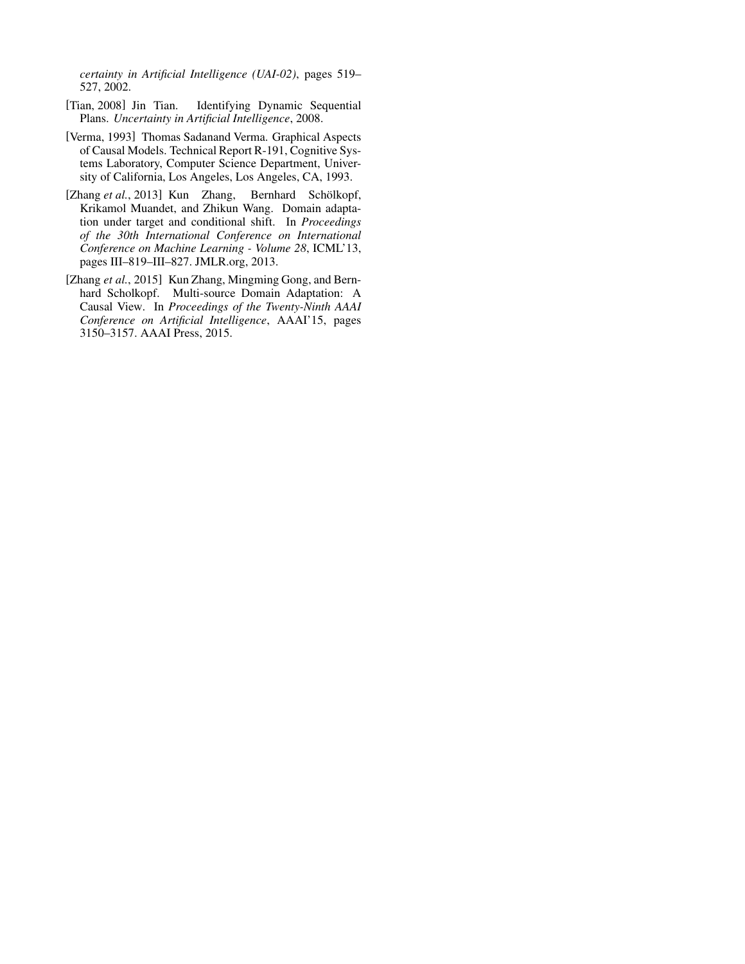*certainty in Artificial Intelligence (UAI-02)*, pages 519– 527, 2002.

- <span id="page-7-2"></span>[Tian, 2008] Jin Tian. Identifying Dynamic Sequential Plans. *Uncertainty in Artificial Intelligence*, 2008.
- <span id="page-7-3"></span>[Verma, 1993] Thomas Sadanand Verma. Graphical Aspects of Causal Models. Technical Report R-191, Cognitive Systems Laboratory, Computer Science Department, University of California, Los Angeles, Los Angeles, CA, 1993.
- <span id="page-7-0"></span>[Zhang et al., 2013] Kun Zhang, Bernhard Schölkopf, Krikamol Muandet, and Zhikun Wang. Domain adaptation under target and conditional shift. In *Proceedings of the 30th International Conference on International Conference on Machine Learning - Volume 28*, ICML'13, pages III–819–III–827. JMLR.org, 2013.
- <span id="page-7-1"></span>[Zhang et al., 2015] Kun Zhang, Mingming Gong, and Bernhard Scholkopf. Multi-source Domain Adaptation: A Causal View. In *Proceedings of the Twenty-Ninth AAAI Conference on Artificial Intelligence*, AAAI'15, pages 3150–3157. AAAI Press, 2015.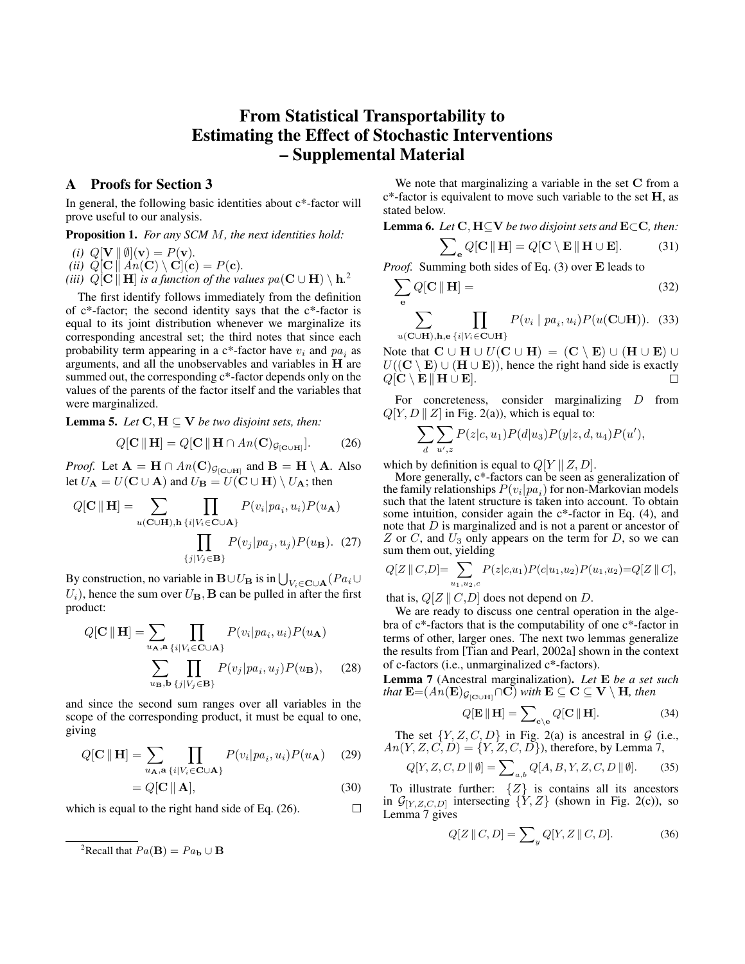# From Statistical Transportability to Estimating the Effect of Stochastic Interventions – Supplemental Material

## A Proofs for Section [3](#page-2-0)

In general, the following basic identities about c\*-factor will prove useful to our analysis.

#### Proposition 1. *For any SCM* M*, the next identities hold:*

$$
(i) Q[\mathbf{V} \parallel \emptyset](\mathbf{v}) = P(\mathbf{v}).
$$

- *(ii)*  $Q[\mathbf{C} \mid A\mathbf{n}(\mathbf{C}) \setminus \mathbf{C}](\mathbf{c}) = P(\mathbf{c})$ *.*
- *(iii)*  $Q[\mathbf{C} \Vert \mathbf{H}]$  *is a function of the values*  $pa(\mathbf{C} \cup \mathbf{H}) \setminus \mathbf{h}^2$  $pa(\mathbf{C} \cup \mathbf{H}) \setminus \mathbf{h}^2$

The first identify follows immediately from the definition of c\*-factor; the second identity says that the c\*-factor is equal to its joint distribution whenever we marginalize its corresponding ancestral set; the third notes that since each probability term appearing in a  $c^*$ -factor have  $v_i$  and  $pa_i$  as arguments, and all the unobservables and variables in H are summed out, the corresponding  $c^*$ -factor depends only on the values of the parents of the factor itself and the variables that were marginalized.

<span id="page-8-3"></span>**Lemma 5.** *Let*  $C, H \subseteq V$  *be two disjoint sets, then:* 

$$
Q[\mathbf{C} \|\mathbf{H}] = Q[\mathbf{C} \|\mathbf{H} \cap An(\mathbf{C})_{\mathcal{G}_{[\mathbf{C}\cup\mathbf{H}]}}].
$$
 (26)

*Proof.* Let  $\mathbf{A} = \mathbf{H} \cap An(\mathbf{C})_{\mathcal{G}_{[\mathbf{C}\cup\mathbf{H}]}}$  and  $\mathbf{B} = \mathbf{H} \setminus \mathbf{A}$ . Also let  $U_{\mathbf{A}} = U(\mathbf{C} \cup \mathbf{A})$  and  $U_{\mathbf{B}} = U(\mathbf{C} \cup \mathbf{H}) \setminus U_{\mathbf{A}}$ ; then

$$
Q[\mathbf{C} \parallel \mathbf{H}] = \sum_{u(\mathbf{C} \cup \mathbf{H}), h} \prod_{\{i \mid V_i \in \mathbf{C} \cup \mathbf{A}\}} P(v_i | pa_i, u_i) P(u_{\mathbf{A}})
$$

$$
\prod_{\{j \mid V_j \in \mathbf{B}\}} P(v_j | pa_j, u_j) P(u_{\mathbf{B}}). (27)
$$

By construction, no variable in  $\mathbf{B} \cup U_{\mathbf{B}}$  is in  $\bigcup_{V_i \in \mathbf{C} \cup \mathbf{A}} (Pa_i \cup$  $U_i$ , hence the sum over  $U_B$ , **B** can be pulled in after the first product:

$$
Q[\mathbf{C} \parallel \mathbf{H}] = \sum_{u_{\mathbf{A}}, \mathbf{a}} \prod_{\{i \mid V_i \in \mathbf{C} \cup \mathbf{A}\}} P(v_i | pa_i, u_i) P(u_{\mathbf{A}})
$$

$$
\sum_{u_{\mathbf{B}}, \mathbf{b}} \prod_{\{j \mid V_j \in \mathbf{B}\}} P(v_j | pa_i, u_j) P(u_{\mathbf{B}}), \quad (28)
$$

and since the second sum ranges over all variables in the scope of the corresponding product, it must be equal to one, giving

$$
Q[\mathbf{C} \|\mathbf{H}] = \sum_{u_{\mathbf{A}}, \mathbf{a}} \prod_{\{i \mid V_i \in \mathbf{C} \cup \mathbf{A}\}} P(v_i | pa_i, u_i) P(u_{\mathbf{A}}) \quad (29)
$$

$$
= Q[\mathbf{C} \parallel \mathbf{A}], \tag{30}
$$

 $\Box$ 

which is equal to the right hand side of Eq. [\(26\)](#page-8-1).

We note that marginalizing a variable in the set C from a  $c^*$ -factor is equivalent to move such variable to the set  $H$ , as stated below.

Lemma 6. *Let* C, H⊆V *be two disjoint sets and* E⊂C*, then:*

$$
\sum_{\mathbf{e}} Q[\mathbf{C} \parallel \mathbf{H}] = Q[\mathbf{C} \setminus \mathbf{E} \parallel \mathbf{H} \cup \mathbf{E}]. \tag{31}
$$

Proof. Summing both sides of Eq. [\(3\)](#page-2-4) over E leads to

$$
\sum_{\mathbf{e}} Q[\mathbf{C} \parallel \mathbf{H}] = \tag{32}
$$

 $\sum$  $u({\mathbf{C}} \cup {\mathbf{H}}),$ h,e  $\Pi$  $\{i|V_i\in \mathbf{C}\cup \mathbf{H}\}$  $P(v_i | pa_i, u_i) P(u(C \cup H)).$  (33)

Note that  $C \cup H \cup U(C \cup H) = (C \setminus E) \cup (H \cup E) \cup$  $U((\mathbf{C} \setminus \mathbf{E}) \cup (\mathbf{H} \cup \mathbf{E}))$ , hence the right hand side is exactly  $Q[\mathbf{C} \setminus \mathbf{E} \Vert \mathbf{H} \cup \mathbf{E}].$ П

For concreteness, consider marginalizing D from  $Q[Y, D \mid Z]$  in Fig. [2\(a\)\)](#page-3-1), which is equal to:

$$
\sum_{d} \sum_{u',z} P(z|c, u_1) P(d|u_3) P(y|z, d, u_4) P(u'),
$$

<span id="page-8-1"></span>which by definition is equal to  $Q[Y \mid Z, D]$ .

More generally, c\*-factors can be seen as generalization of the family relationships  $P(v_i|pa_i)$  for non-Markovian models such that the latent structure is taken into account. To obtain some intuition, consider again the c\*-factor in Eq. [\(4\)](#page-2-5), and note that D is marginalized and is not a parent or ancestor of  $Z$  or  $C$ , and  $U_3$  only appears on the term for  $D$ , so we can sum them out, yielding

$$
Q[Z \mid C, D] = \sum_{u_1, u_2, c} P(z|c, u_1) P(c|u_1, u_2) P(u_1, u_2) = Q[Z \mid C],
$$

that is,  $Q[Z \mid C,D]$  does not depend on D.

We are ready to discuss one central operation in the algebra of c\*-factors that is the computability of one c\*-factor in terms of other, larger ones. The next two lemmas generalize the results from [\[Tian and Pearl, 2002a\]](#page-6-16) shown in the context of c-factors (i.e., unmarginalized c\*-factors).

<span id="page-8-2"></span>Lemma 7 (Ancestral marginalization). *Let* E *be a set such that*  $\mathbf{E} = (A \hat{\mathbf{n}}(\mathbf{E})_{\mathcal{G}_{\text{[C\cup H]}}} \cap \mathbf{C})$  *with*  $\mathbf{E} \subseteq \mathbf{C} \subseteq \mathbf{V} \setminus \mathbf{H}$ *, then* 

$$
Q[\mathbf{E} \parallel \mathbf{H}] = \sum_{\mathbf{c} \setminus \mathbf{e}} Q[\mathbf{C} \parallel \mathbf{H}]. \tag{34}
$$

The set  $\{Y, Z, C, D\}$  in Fig. [2\(a\)](#page-3-1) is ancestral in G (i.e.,  $An(Y, Z, C, D) = \{Y, Z, C, D\}$ , therefore, by Lemma [7,](#page-8-2)

$$
Q[Y, Z, C, D \parallel \emptyset] = \sum_{a,b} Q[A, B, Y, Z, C, D \parallel \emptyset].
$$
 (35)

To illustrate further:  $\{Z\}$  is contains all its ancestors in  $\mathcal{G}_{[Y,Z,C,D]}$  intersecting  $\{Y,Z\}$  (shown in Fig. [2\(c\)\)](#page-3-1), so Lemma [7](#page-8-2) gives

$$
Q[Z \parallel C, D] = \sum_{y} Q[Y, Z \parallel C, D]. \tag{36}
$$

<span id="page-8-0"></span><sup>&</sup>lt;sup>2</sup>Recall that  $Pa(B) = Pa_b \cup B$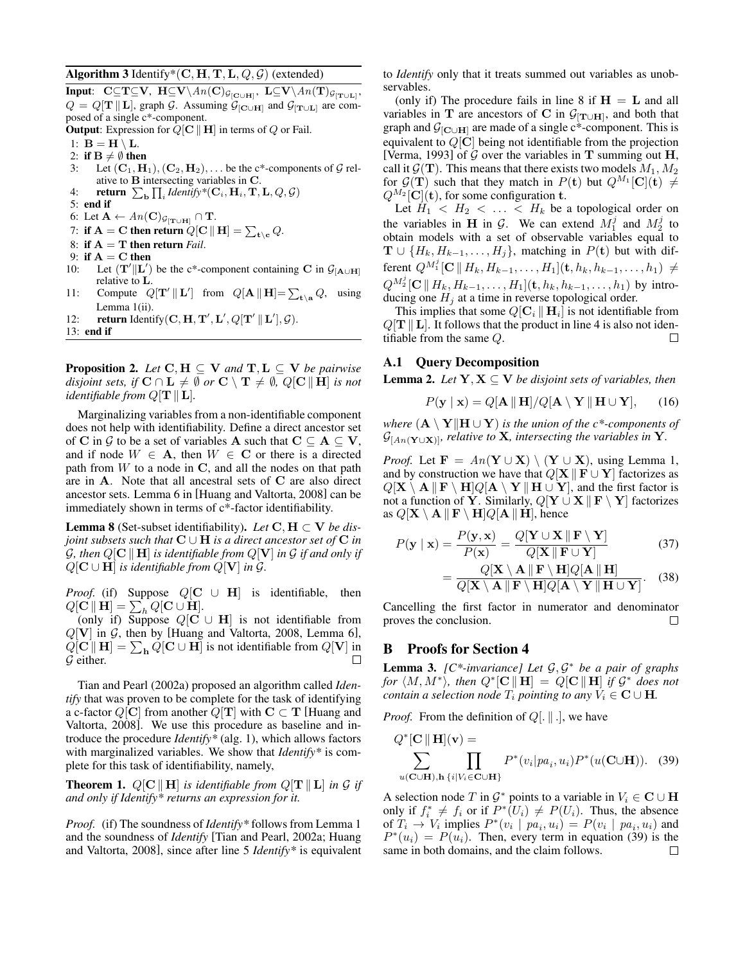Algorithm 3 Identify\*(C, H, T, L,  $Q$ ,  $G$ ) (extended)

Input: C⊆T⊆V, H⊆V $\setminus An(\mathbf{C})_{\mathcal{G}_{[\mathbf{C}\cup\mathbf{H}]}},$  L⊆V $\setminus An(\mathbf{T})_{\mathcal{G}_{[\mathbf{T}\cup\mathbf{L}]}},$  $Q = Q[\mathbf{T} \parallel \mathbf{L}]$ , graph G. Assuming  $\mathcal{G}_{[\mathbf{C} \cup \mathbf{H}]}$  and  $\mathcal{G}_{[\mathbf{T} \cup \mathbf{L}]}$  are composed of a single c\*-component.

**Output:** Expression for  $Q[\mathbf{C} \parallel \mathbf{H}]$  in terms of  $Q$  or Fail.

- 1:  $B = H \setminus L$ .
- 2: if  $B \neq \emptyset$  then
- 3: Let  $(C_1, H_1), (C_2, H_2), \ldots$  be the c\*-components of  $\mathcal G$  relative to B intersecting variables in C.
- 4: **return**  $\sum_{\mathbf{b}} \prod_i \text{Identity}^*(\mathbf{C}_i, \mathbf{H}_i, \mathbf{T}, \mathbf{L}, Q, Q)$
- 5: end if
- 6: Let  $\mathbf{A} \leftarrow An(\mathbf{C})g_{[\mathbf{T}\cup\mathbf{H}]} \cap \mathbf{T}$ .
- 7: if  $\mathbf{A} = \mathbf{C}$  then return  $Q[\mathbf{C} \, \| \, \mathbf{H}] = \sum_{\mathbf{t} \setminus \mathbf{c}} Q.$
- 8: if  $A = T$  then return *Fail*.
- 9: if  $A = C$  then
- 10: Let  $(T'||L')$  be the c\*-component containing C in  $\mathcal{G}_{[A\cup H]}$ relative to L.
- 11: Compute  $Q[\mathbf{T}' || \mathbf{L}']$  from  $Q[\mathbf{A} || \mathbf{H}] = \sum_{\mathbf{t} \setminus \mathbf{a}} Q$ , using Lemma [1](#page-2-3)[\(ii\).](#page-2-6)
- 12: return Identify  $(C, H, T', L', Q[T' || L'], \mathcal{G})$ .
- 13: end if

**Proposition 2.** *Let*  $C, H \subseteq V$  *and*  $T, L \subseteq V$  *be pairwise disjoint sets, if*  $C \cap L \neq \emptyset$  *or*  $C \setminus T \neq \emptyset$ ,  $Q[C \parallel H]$  *is not identifiable from*  $Q[T || L]$ *.* 

Marginalizing variables from a non-identifiable component does not help with identifiability. Define a direct ancestor set of C in G to be a set of variables A such that  $C \subseteq A \subseteq V$ , and if node  $W \in A$ , then  $W \in C$  or there is a directed path from  $W$  to a node in  $C$ , and all the nodes on that path are in A. Note that all ancestral sets of C are also direct ancestor sets. Lemma 6 in [\[Huang and Valtorta, 2008\]](#page-6-20) can be immediately shown in terms of c\*-factor identifiability.

**Lemma 8** (Set-subset identifiability). *Let*  $C, H \subset V$  *be disjoint subsets such that* C ∪ H *is a direct ancestor set of* C *in* G, then  $Q[\mathbf{C} \parallel \mathbf{H}]$  *is identifiable from*  $Q[\mathbf{V}]$  *in* G *if and only if*  $Q[\mathbf{C} \cup \mathbf{H}]$  *is identifiable from*  $Q[\mathbf{V}]$  *in G*.

*Proof.* (if) Suppose  $Q[C \cup H]$  is identifiable, then  $Q[\mathbf{C} \, \| \, \mathbf{H}] = \sum_h Q[\mathbf{C} \cup \mathbf{H}].$ 

(only if) Suppose  $Q[C \cup H]$  is not identifiable from  $Q[V]$  in  $G$ , then by [\[Huang and Valtorta, 2008,](#page-6-20) Lemma 6],  $Q[\mathbf{C} \Vert \mathbf{H}] = \sum_{\mathbf{h}} Q[\mathbf{C} \cup \mathbf{H}]$  is not identifiable from  $Q[\mathbf{V}]$  in G either.

[Tian and Pearl](#page-6-16) [\(2002a\)](#page-6-16) proposed an algorithm called *Identify* that was proven to be complete for the task of identifying a c-factor  $Q[\mathbf{C}]$  from another  $Q[\mathbf{T}]$  with  $\mathbf{C} \subset \mathbf{T}$  [\[Huang and](#page-6-20) [Valtorta, 2008\]](#page-6-20). We use this procedure as baseline and introduce the procedure *Identify\** (alg. [1\)](#page-3-2), which allows factors with marginalized variables. We show that *Identify\** is complete for this task of identifiability, namely,

**Theorem 1.**  $Q[\mathbf{C} \parallel \mathbf{H}]$  *is identifiable from*  $Q[\mathbf{T} \parallel \mathbf{L}]$  *in*  $\mathcal{G}$  *if and only if Identify\* returns an expression for it.*

*Proof.* (if) The soundness of *Identify\** follows from Lemma [1](#page-2-3) and the soundness of *Identify* [\[Tian and Pearl, 2002a;](#page-6-16) [Huang](#page-6-20) [and Valtorta, 2008\]](#page-6-20), since after line [5](#page-3-6) *Identify\** is equivalent to *Identify* only that it treats summed out variables as unobservables.

(only if) The procedure fails in line [8](#page-9-0) if  $H = L$  and all variables in T are ancestors of C in  $G_{\text{[T\cup H]}}$ , and both that graph and  $G_{\text{C}\cup\text{H}}$  are made of a single c<sup>\*</sup>-component. This is equivalent to  $Q[\mathbf{C}]$  being not identifiable from the projection [\[Verma, 1993\]](#page-7-3) of  $\tilde{G}$  over the variables in **T** summing out **H**, call it  $\mathcal{G}(\mathbf{T})$ . This means that there exists two models  $M_1, M_2$ for  $G(T)$  such that they match in  $P(\mathbf{t})$  but  $Q^{M_1}[\mathbf{C}](\mathbf{t}) \neq$  $Q^{M_2}[\mathbf{C}](\mathbf{t})$ , for some configuration t.

<span id="page-9-0"></span>Let  $H_1 < H_2 < \ldots < H_k$  be a topological order on the variables in H in  $\mathcal{G}$ . We can extend  $M_1^j$  and  $M_2^j$  to obtain models with a set of observable variables equal to  $\mathbf{T} \cup \{H_k, H_{k-1}, \ldots, H_j\}$ , matching in  $P(\mathbf{t})$  but with different  $Q^{M_1^j}[\mathbf{C}\, \| \, H_k, H_{k-1}, \dots, H_1](\mathbf{t}, h_k, h_{k-1}, \dots, h_1) \, \neq$  $Q^{M_2^j}[\mathbf{C} \, \| \, H_k, H_{k-1}, \dots, H_1](\mathbf{t}, h_k, h_{k-1}, \dots, h_1)$  by introducing one  $H_i$  at a time in reverse topological order.

This implies that some  $Q[\mathbf{C}_i \, \| \, \mathbf{H}_i]$  is not identifiable from  $Q[T || L]$ . It follows that the product in line [4](#page-3-7) is also not identifiable from the same Q.  $\Box$ 

## A.1 Query Decomposition

**Lemma 2.** *Let*  $Y, X \subseteq V$  *be disjoint sets of variables, then* 

$$
P(\mathbf{y} \mid \mathbf{x}) = Q[\mathbf{A} \parallel \mathbf{H}]/Q[\mathbf{A} \setminus \mathbf{Y} \parallel \mathbf{H} \cup \mathbf{Y}], \quad (16)
$$

*where*  $(A \setminus Y \parallel H \cup Y)$  *is the union of the c\*-components of*  $\mathcal{G}_{[An(\mathbf{Y}\cup\mathbf{X})]}$ *, relative to* **X***, intersecting the variables in* Y*.* 

*Proof.* Let  $\mathbf{F} = An(\mathbf{Y} \cup \mathbf{X}) \setminus (\mathbf{Y} \cup \mathbf{X})$ , using Lemma [1,](#page-2-3) and by construction we have that  $Q[X \mid F \cup Y]$  factorizes as  $Q[\mathbf{X} \setminus \mathbf{A} \Vert \mathbf{F} \setminus \mathbf{H}]Q[\mathbf{A} \setminus \mathbf{Y} \Vert \mathbf{H} \cup \mathbf{Y}],$  and the first factor is not a function of Y. Similarly,  $Q[Y \cup X \mid F \setminus Y]$  factorizes as  $Q[\mathbf{X} \setminus \mathbf{A} \parallel \mathbf{F} \setminus \mathbf{H}]Q[\mathbf{A} \parallel \mathbf{H}]$ , hence

$$
P(\mathbf{y} \mid \mathbf{x}) = \frac{P(\mathbf{y}, \mathbf{x})}{P(\mathbf{x})} = \frac{Q[\mathbf{Y} \cup \mathbf{X} \parallel \mathbf{F} \setminus \mathbf{Y}]}{Q[\mathbf{X} \parallel \mathbf{F} \cup \mathbf{Y}]}
$$
(37)

$$
= \frac{Q[\mathbf{X} \setminus \mathbf{A} \parallel \mathbf{F} \setminus \mathbf{H}]Q[\mathbf{A} \parallel \mathbf{H}]}{Q[\mathbf{X} \setminus \mathbf{A} \parallel \mathbf{F} \setminus \mathbf{H}]Q[\mathbf{A} \setminus \mathbf{Y} \parallel \mathbf{H} \cup \mathbf{Y}]}.
$$
 (38)

Cancelling the first factor in numerator and denominator proves the conclusion.  $\Box$ 

## B Proofs for Section [4](#page-3-0)

Lemma 3. *[C\*-invariance] Let* G, G <sup>∗</sup> *be a pair of graphs for*  $\langle M, M^* \rangle$ *, then*  $Q^*[\mathbf{C} \parallel \mathbf{H}] = Q[\mathbf{C} \parallel \mathbf{H}]$  *if*  $\mathcal{G}^*$  *does not contain a selection node*  $T_i$  *pointing to any*  $V_i \in \mathbf{C} \cup \mathbf{H}$ *.* 

*Proof.* From the definition of  $Q[. || .]$ , we have

<span id="page-9-1"></span>
$$
Q^*[\mathbf{C} \parallel \mathbf{H}](\mathbf{v}) = \sum_{u(\mathbf{C} \cup \mathbf{H}), \mathbf{h} \{i \mid V_i \in \mathbf{C} \cup \mathbf{H}\}} P^*(v_i|pa_i, u_i) P^*(u(\mathbf{C} \cup \mathbf{H})). \quad (39)
$$

A selection node T in  $\mathcal{G}^*$  points to a variable in  $V_i \in \mathbf{C} \cup \mathbf{H}$ only if  $f_i^* \neq f_i$  or if  $P^*(U_i) \neq P(U_i)$ . Thus, the absence of  $T_i \rightarrow V_i$  implies  $P^*(v_i \mid pa_i, u_i) = P(v_i \mid pa_i, u_i)$  and  $P^*(u_i) = P(u_i)$ . Then, every term in equation [\(39\)](#page-9-1) is the same in both domains, and the claim follows.□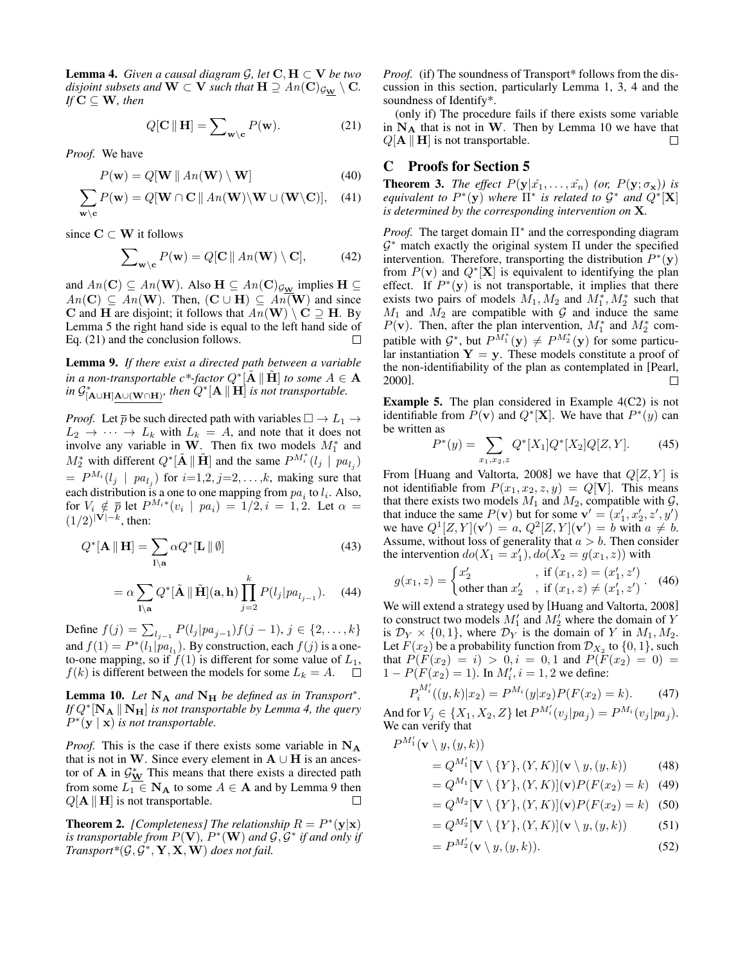**Lemma 4.** *Given a causal diagram*  $\mathcal{G}$ *, let*  $\mathbf{C}, \mathbf{H} \subset \mathbf{V}$  *be two disjoint subsets and*  $W \subset V$  *such that*  $H \supseteq An(C)_{G_W} \setminus C$ *. If*  $C \subseteq W$ *, then* 

$$
Q[\mathbf{C} \parallel \mathbf{H}] = \sum_{\mathbf{w} \setminus \mathbf{c}} P(\mathbf{w}). \tag{21}
$$

*Proof.* We have

$$
P(\mathbf{w}) = Q[\mathbf{W} \mid An(\mathbf{W}) \setminus \mathbf{W}] \tag{40}
$$

$$
\sum_{\mathbf{w}\backslash\mathbf{c}} P(\mathbf{w}) = Q[\mathbf{W} \cap \mathbf{C} \mid A\mathbf{n}(\mathbf{W}) \backslash \mathbf{W} \cup (\mathbf{W}\backslash \mathbf{C})], \quad (41)
$$

since  $C \subset W$  it follows

$$
\sum_{\mathbf{w}\setminus\mathbf{c}} P(\mathbf{w}) = Q[\mathbf{C} \parallel An(\mathbf{W}) \setminus \mathbf{C}], \tag{42}
$$

and  $An(\mathbf{C}) \subseteq An(\mathbf{W})$ . Also  $\mathbf{H} \subseteq An(\mathbf{C})_{\mathcal{G}_{\mathbf{W}}}$  implies  $\mathbf{H} \subseteq$  $An(C) \subseteq An(W)$ . Then,  $(C \cup H) \subseteq An(W)$  and since C and H are disjoint; it follows that  $An(\mathbf{W}) \setminus \mathbf{C} \supseteq \mathbf{H}$ . By Lemma [5](#page-8-3) the right hand side is equal to the left hand side of Eq. [\(21\)](#page-5-5) and the conclusion follows.  $\Box$ 

<span id="page-10-0"></span>Lemma 9. *If there exist a directed path between a variable* in a non-transportable  $c^*$ -factor  $Q^*\tilde{[A} \|\tilde{H}\|$  to some  $A \in \mathbf{A}$ in  $\mathcal{G}^*_{[\mathbf{A}\cup\mathbf{H}]\mathbf{A}\cup(\mathbf{W}\cap\mathbf{H})}$ *, then*  $Q^*[\mathbf{A}\|\mathbf{H}]$  *is not transportable.* 

*Proof.* Let  $\overline{p}$  be such directed path with variables  $\square \rightarrow L_1 \rightarrow$  $L_2 \rightarrow \cdots \rightarrow L_k$  with  $L_k = A$ , and note that it does not involve any variable in W. Then fix two models  $M_1^*$  and  $M_2^*$  with different  $Q^*[\tilde{A} \|\tilde{H}]$  and the same  $P^{M_i^*}(l_j \mid pa_{l_j})$  $= P^{M_i}(l_j \mid pa_{l_j})$  for  $i=1,2, j=2,\ldots,k$ , making sure that each distribution is a one to one mapping from  $pa_i$  to  $l_i$ . Also, for  $V_i \notin \overline{p}$  let  $P^{M_i*}(v_i \mid pa_i) = 1/2, i = 1, 2$ . Let  $\alpha =$  $(1/2)^{|V|-k}$ , then:

$$
Q^*[\mathbf{A} \parallel \mathbf{H}] = \sum_{\mathbf{l} \setminus \mathbf{a}} \alpha Q^*[\mathbf{L} \parallel \emptyset]
$$
(43)  

$$
= \alpha \sum_{\mathbf{l} \setminus \mathbf{a}} Q^*[\tilde{\mathbf{A}} \parallel \tilde{\mathbf{H}}](\mathbf{a}, \mathbf{h}) \prod_{j=2}^k P(l_j | pa_{l_{j-1}}).
$$
(44)

Define  $f(j) = \sum_{l_j=1} P(l_j | pa_{j-1}) f(j-1), j \in \{2, ..., k\}$ and  $f(1) = P^*(l_1|pa_{l_1})$ . By construction, each  $f(j)$  is a oneto-one mapping, so if  $f(1)$  is different for some value of  $L_1$ ,  $f(k)$  is different between the models for some  $L_k = A$ .  $\Box$ 

<span id="page-10-1"></span>**Lemma 10.** Let  $N_A$  and  $N_H$  be defined as in Transport<sup>\*</sup>. *If*  $Q^*$ [**N**<sub>A</sub>  $\parallel$ **N**<sub>H</sub>] *is not transportable by Lemma [4,](#page-4-4) the query*  $P^*(y \mid x)$  *is not transportable.* 

*Proof.* This is the case if there exists some variable in  $N_A$ that is not in W. Since every element in  $A \cup H$  is an ancestor of **A** in  $\mathcal{G}_{\mathbf{W}}^*$  This means that there exists a directed path from some  $L_1 \in \mathbf{N}_A$  to some  $A \in \mathbf{A}$  and by Lemma [9](#page-10-0) then  $Q[A \parallel H]$  is not transportable.  $\Box$ 

**Theorem 2.** [Completeness] The relationship  $R = P^*(y|x)$ is transportable from  $P(\mathbf{V})$ ,  $P^*(\mathbf{W})$  and  $\mathcal{G}, \mathcal{G}^*$  if and only if  $Transport*(\mathcal{G}, \mathcal{G}^*, \mathbf{Y}, \mathbf{X}, \mathbf{W})$  does not fail.

*Proof.* (if) The soundness of Transport\* follows from the discussion in this section, particularly Lemma [1,](#page-2-3) [3,](#page-4-6) [4](#page-4-4) and the soundness of Identify\*.

(only if) The procedure fails if there exists some variable in  $N_A$  that is not in W. Then by Lemma [10](#page-10-1) we have that  $Q[A \parallel H]$  is not transportable.  $\Box$ 

## C Proofs for Section [5](#page-5-0)

**Theorem 3.** *The effect*  $P(y|\hat{x}_1,\ldots,\hat{x}_n)$  *(or,*  $P(y;\sigma_x)$ *) is equivalent to*  $P^*(y)$  *where*  $\Pi^*$  *is related to*  $G^*$  *and*  $Q^*[\mathbf{X}]$ *is determined by the corresponding intervention on* X*.*

*Proof.* The target domain  $\Pi^*$  and the corresponding diagram  $G^*$  match exactly the original system  $\Pi$  under the specified intervention. Therefore, transporting the distribution  $P^*(y)$ from  $P(\mathbf{v})$  and  $Q^{\ast}[\mathbf{X}]$  is equivalent to identifying the plan effect. If  $P^*(y)$  is not transportable, it implies that there exists two pairs of models  $\overline{M}_1$ ,  $\overline{M}_2$  and  $\overline{M}_1^*$ ,  $\overline{M}_2^*$  such that  $M_1$  and  $M_2$  are compatible with G and induce the same  $P(\mathbf{v})$ . Then, after the plan intervention,  $M_1^*$  and  $M_2^*$  compatible with  $\mathcal{G}^*$ , but  $P^{\tilde{M}_1^*}(\mathbf{y}) \neq P^{M_2^*}(\mathbf{y})$  for some particular instantiation  $Y = y$ . These models constitute a proof of the non-identifiability of the plan as contemplated in [\[Pearl,](#page-6-0) [2000\]](#page-6-0).  $\Box$ 

**Example 5.** The plan considered in Example  $4(C2)$  is not identifiable from  $\overline{P}(\mathbf{v})$  and  $Q^*[\mathbf{X}]$ . We have that  $P^*(y)$  can be written as

$$
P^*(y) = \sum_{x_1, x_2, z} Q^*[X_1]Q^*[X_2]Q[Z, Y].
$$
 (45)

From [\[Huang and Valtorta, 2008\]](#page-6-20) we have that  $Q[Z, Y]$  is not identifiable from  $P(x_1, x_2, z, y) = Q[\mathbf{V}]$ . This means that there exists two models  $M_1$  and  $M_2$ , compatible with  $\mathcal{G}$ , that induce the same  $P(\mathbf{v})$  but for some  $\mathbf{v}' = (x'_1, x'_2, z', y')$ we have  $Q^1[Z, Y](\mathbf{v}') = a, Q^2[Z, Y](\mathbf{v}') = b$  with  $a \neq b$ . Assume, without loss of generality that  $a > b$ . Then consider the intervention  $do(X_1 = x_1'), do(X_2 = g(x_1, z))$  with

$$
g(x_1, z) = \begin{cases} x'_2, & \text{if } (x_1, z) = (x'_1, z')\\ \text{other than } x'_2, & \text{if } (x_1, z) \neq (x'_1, z') \end{cases} . \tag{46}
$$

We will extend a strategy used by [\[Huang and Valtorta, 2008\]](#page-6-20) to construct two models  $M'_1$  and  $M'_2$  where the domain of Y is  $\mathcal{D}_Y \times \{0,1\}$ , where  $\mathcal{D}_Y$  is the domain of Y in  $M_1, M_2$ . Let  $F(x_2)$  be a probability function from  $\mathcal{D}_{X_2}$  to  $\{0, 1\}$ , such that  $P(F(x_2) = i) > 0, i = 0, 1$  and  $P(F(x_2) = 0) =$  $1 - P(F(x_2) = 1)$ . In  $M'_i$ ,  $i = 1, 2$  we define:

$$
P_i^{M_i'}((y,k)|x_2) = P^{M_i}(y|x_2)P(F(x_2) = k). \tag{47}
$$

And for  $V_j \in \{X_1, X_2, Z\}$  let  $P^{M_i'}(v_j|pa_j) = P^{M_i}(v_j|pa_j)$ . We can verify that

$$
P^{M'_{1}}(\mathbf{v} \setminus y, (y, k))
$$
  
=  $Q^{M'_{1}}[\mathbf{V} \setminus \{Y\}, (Y, K)](\mathbf{v} \setminus y, (y, k))$  (48)  
=  $Q^{M_{1}}[\mathbf{V} \setminus \{Y\}, (Y, K)](\mathbf{v})P(F(x_{2}) = k)$  (49)

$$
= Q^{M_2}[\mathbf{V} \setminus \{Y\}, (Y, K)](\mathbf{v}) P(F(x_2) = k) \quad (50)
$$

$$
= Q^{M'_2}[\mathbf{V} \setminus \{Y\}, (Y, K)](\mathbf{v} \setminus y, (y, k)) \tag{51}
$$

$$
=P^{M'_2}(\mathbf{v}\setminus y,(y,k)).\tag{52}
$$